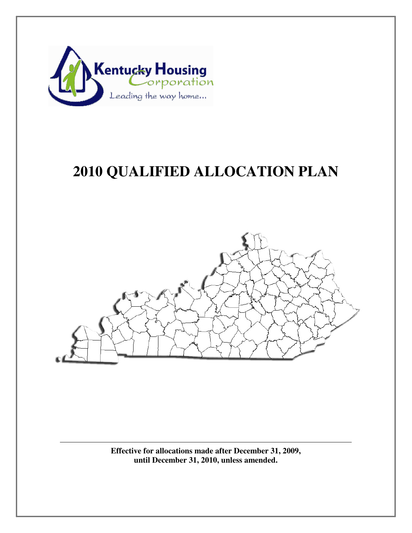

# **2010 QUALIFIED ALLOCATION PLAN**



**Effective for allocations made after December 31, 2009, until December 31, 2010, unless amended.**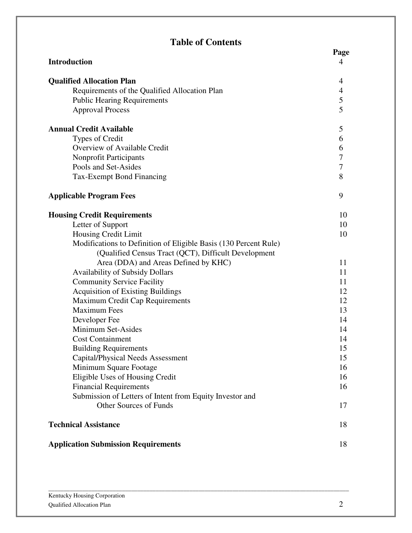## **Table of Contents**

|                                                                  | Page                     |
|------------------------------------------------------------------|--------------------------|
| <b>Introduction</b>                                              | 4                        |
| <b>Qualified Allocation Plan</b>                                 | 4                        |
| Requirements of the Qualified Allocation Plan                    | $\overline{\mathcal{A}}$ |
| <b>Public Hearing Requirements</b>                               | 5                        |
| <b>Approval Process</b>                                          | 5                        |
| <b>Annual Credit Available</b>                                   | 5                        |
| Types of Credit                                                  | 6                        |
| Overview of Available Credit                                     | 6                        |
| <b>Nonprofit Participants</b>                                    | $\overline{7}$           |
| Pools and Set-Asides                                             | $\overline{7}$           |
| Tax-Exempt Bond Financing                                        | 8                        |
| <b>Applicable Program Fees</b>                                   | 9                        |
| <b>Housing Credit Requirements</b>                               | 10                       |
| Letter of Support                                                | 10                       |
| Housing Credit Limit                                             | 10                       |
| Modifications to Definition of Eligible Basis (130 Percent Rule) |                          |
| (Qualified Census Tract (QCT), Difficult Development             |                          |
| Area (DDA) and Areas Defined by KHC)                             | 11                       |
| <b>Availability of Subsidy Dollars</b>                           | 11                       |
| <b>Community Service Facility</b>                                | 11                       |
| <b>Acquisition of Existing Buildings</b>                         | 12                       |
| Maximum Credit Cap Requirements                                  | 12                       |
| <b>Maximum Fees</b>                                              | 13                       |
| Developer Fee                                                    | 14                       |
| Minimum Set-Asides                                               | 14                       |
| <b>Cost Containment</b>                                          | 14                       |
| <b>Building Requirements</b>                                     | 15                       |
| Capital/Physical Needs Assessment                                | 15                       |
| Minimum Square Footage                                           | 16                       |
| Eligible Uses of Housing Credit                                  | 16                       |
| <b>Financial Requirements</b>                                    | 16                       |
| Submission of Letters of Intent from Equity Investor and         |                          |
| <b>Other Sources of Funds</b>                                    | 17                       |
| <b>Technical Assistance</b>                                      | 18                       |
| <b>Application Submission Requirements</b>                       | 18                       |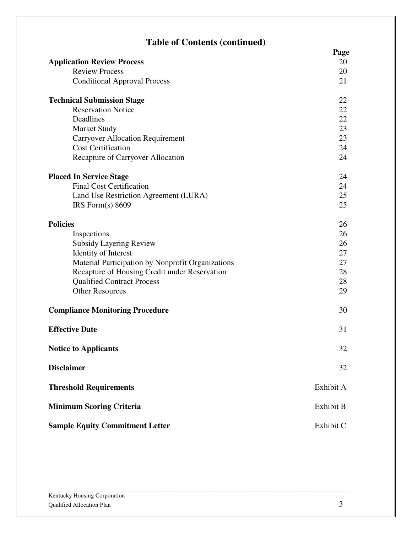## **Table of Contents (continued)**

|                                                   | Page      |
|---------------------------------------------------|-----------|
| <b>Application Review Process</b>                 | 20        |
| <b>Review Process</b>                             | 20        |
| <b>Conditional Approval Process</b>               | 21        |
| <b>Technical Submission Stage</b>                 | 22        |
| <b>Reservation Notice</b>                         | 22        |
| Deadlines                                         | 22        |
| <b>Market Study</b>                               | 23        |
| <b>Carryover Allocation Requirement</b>           | 23        |
| <b>Cost Certification</b>                         | 24        |
| Recapture of Carryover Allocation                 | 24        |
| <b>Placed In Service Stage</b>                    | 24        |
| <b>Final Cost Certification</b>                   | 24        |
| Land Use Restriction Agreement (LURA)             | 25        |
| IRS Form(s) 8609                                  | 25        |
| <b>Policies</b>                                   | 26        |
| Inspections                                       | 26        |
| <b>Subsidy Layering Review</b>                    | 26        |
| <b>Identity of Interest</b>                       | 27        |
| Material Participation by Nonprofit Organizations | 27        |
| Recapture of Housing Credit under Reservation     | 28        |
| <b>Qualified Contract Process</b>                 | 28        |
| <b>Other Resources</b>                            | 29        |
| <b>Compliance Monitoring Procedure</b>            | 30        |
| <b>Effective Date</b>                             | 31        |
| <b>Notice to Applicants</b>                       | 32        |
| <b>Disclaimer</b>                                 | 32        |
| <b>Threshold Requirements</b>                     | Exhibit A |
| <b>Minimum Scoring Criteria</b>                   | Exhibit B |
| <b>Sample Equity Commitment Letter</b>            | Exhibit C |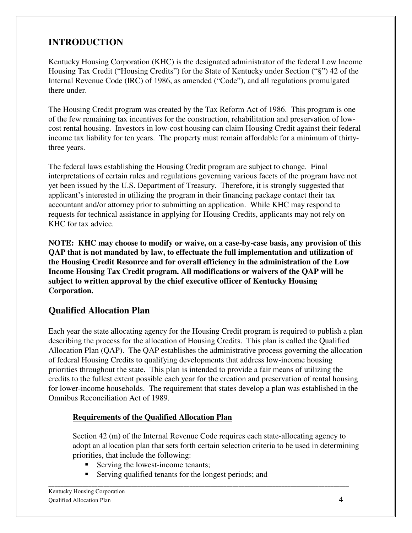## **INTRODUCTION**

Kentucky Housing Corporation (KHC) is the designated administrator of the federal Low Income Housing Tax Credit ("Housing Credits") for the State of Kentucky under Section ("§") 42 of the Internal Revenue Code (IRC) of 1986, as amended ("Code"), and all regulations promulgated there under.

The Housing Credit program was created by the Tax Reform Act of 1986. This program is one of the few remaining tax incentives for the construction, rehabilitation and preservation of lowcost rental housing. Investors in low-cost housing can claim Housing Credit against their federal income tax liability for ten years. The property must remain affordable for a minimum of thirtythree years.

The federal laws establishing the Housing Credit program are subject to change. Final interpretations of certain rules and regulations governing various facets of the program have not yet been issued by the U.S. Department of Treasury. Therefore, it is strongly suggested that applicant's interested in utilizing the program in their financing package contact their tax accountant and/or attorney prior to submitting an application. While KHC may respond to requests for technical assistance in applying for Housing Credits, applicants may not rely on KHC for tax advice.

**NOTE: KHC may choose to modify or waive, on a case-by-case basis, any provision of this QAP that is not mandated by law, to effectuate the full implementation and utilization of the Housing Credit Resource and for overall efficiency in the administration of the Low Income Housing Tax Credit program. All modifications or waivers of the QAP will be subject to written approval by the chief executive officer of Kentucky Housing Corporation.** 

## **Qualified Allocation Plan**

Each year the state allocating agency for the Housing Credit program is required to publish a plan describing the process for the allocation of Housing Credits. This plan is called the Qualified Allocation Plan (QAP). The QAP establishes the administrative process governing the allocation of federal Housing Credits to qualifying developments that address low-income housing priorities throughout the state. This plan is intended to provide a fair means of utilizing the credits to the fullest extent possible each year for the creation and preservation of rental housing for lower-income households. The requirement that states develop a plan was established in the Omnibus Reconciliation Act of 1989.

#### **Requirements of the Qualified Allocation Plan**

Section 42 (m) of the Internal Revenue Code requires each state-allocating agency to adopt an allocation plan that sets forth certain selection criteria to be used in determining priorities, that include the following:

- Serving the lowest-income tenants;
- Serving qualified tenants for the longest periods; and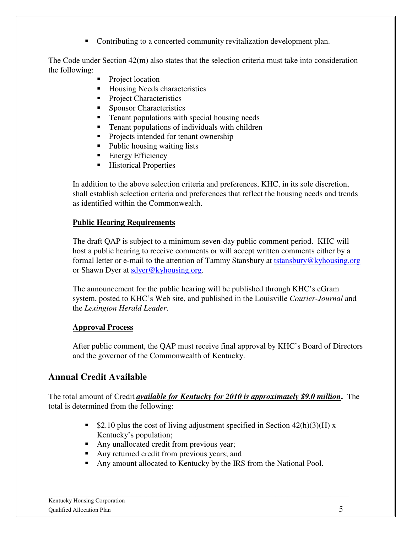• Contributing to a concerted community revitalization development plan.

The Code under Section 42(m) also states that the selection criteria must take into consideration the following:

- Project location
- Housing Needs characteristics
- **Project Characteristics**
- Sponsor Characteristics
- **Tenant populations with special housing needs**
- **Tenant populations of individuals with children**
- Projects intended for tenant ownership
- Public housing waiting lists
- **Energy Efficiency**
- Historical Properties

In addition to the above selection criteria and preferences, KHC, in its sole discretion, shall establish selection criteria and preferences that reflect the housing needs and trends as identified within the Commonwealth.

#### **Public Hearing Requirements**

The draft QAP is subject to a minimum seven-day public comment period. KHC will host a public hearing to receive comments or will accept written comments either by a formal letter or e-mail to the attention of Tammy Stansbury at tstansbury@kyhousing.org or Shawn Dyer at sdyer@kyhousing.org.

The announcement for the public hearing will be published through KHC's eGram system, posted to KHC's Web site, and published in the Louisville *Courier-Journal* and the *Lexington Herald Leader*.

#### **Approval Process**

After public comment, the QAP must receive final approval by KHC's Board of Directors and the governor of the Commonwealth of Kentucky.

## **Annual Credit Available**

The total amount of Credit *available for Kentucky for 2010 is approximately \$9.0 million***.** The total is determined from the following:

- $\bullet$  \$2.10 plus the cost of living adjustment specified in Section 42(h)(3)(H) x Kentucky's population;
- Any unallocated credit from previous year;
- Any returned credit from previous years; and
- Any amount allocated to Kentucky by the IRS from the National Pool.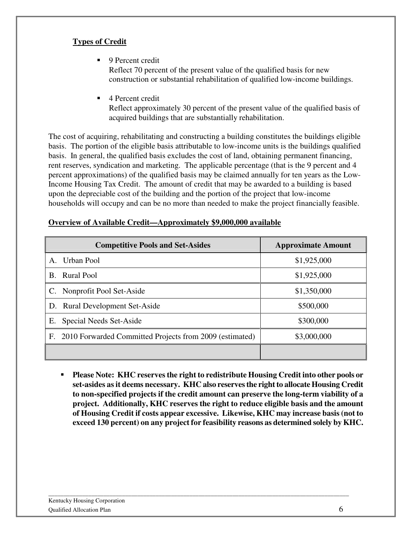#### **Types of Credit**

- 9 Percent credit Reflect 70 percent of the present value of the qualified basis for new construction or substantial rehabilitation of qualified low-income buildings.
- 4 Percent credit

Reflect approximately 30 percent of the present value of the qualified basis of acquired buildings that are substantially rehabilitation.

The cost of acquiring, rehabilitating and constructing a building constitutes the buildings eligible basis. The portion of the eligible basis attributable to low-income units is the buildings qualified basis. In general, the qualified basis excludes the cost of land, obtaining permanent financing, rent reserves, syndication and marketing. The applicable percentage (that is the 9 percent and 4 percent approximations) of the qualified basis may be claimed annually for ten years as the Low-Income Housing Tax Credit. The amount of credit that may be awarded to a building is based upon the depreciable cost of the building and the portion of the project that low-income households will occupy and can be no more than needed to make the project financially feasible.

| <b>Competitive Pools and Set-Asides</b>                    | <b>Approximate Amount</b> |
|------------------------------------------------------------|---------------------------|
| Urban Pool<br>$\mathsf{A}_{\cdot}$                         | \$1,925,000               |
| <b>Rural Pool</b><br>B.                                    | \$1,925,000               |
| C. Nonprofit Pool Set-Aside                                | \$1,350,000               |
| D. Rural Development Set-Aside                             | \$500,000                 |
| Special Needs Set-Aside<br>Е.                              | \$300,000                 |
| F. 2010 Forwarded Committed Projects from 2009 (estimated) | \$3,000,000               |
|                                                            |                           |

#### **Overview of Available Credit—Approximately \$9,000,000 available**

 **Please Note: KHC reserves the right to redistribute Housing Credit into other pools or set-asides as it deems necessary. KHC also reserves the right to allocate Housing Credit to non-specified projects if the credit amount can preserve the long-term viability of a project. Additionally, KHC reserves the right to reduce eligible basis and the amount of Housing Credit if costs appear excessive. Likewise, KHC may increase basis (not to exceed 130 percent) on any project for feasibility reasons as determined solely by KHC.**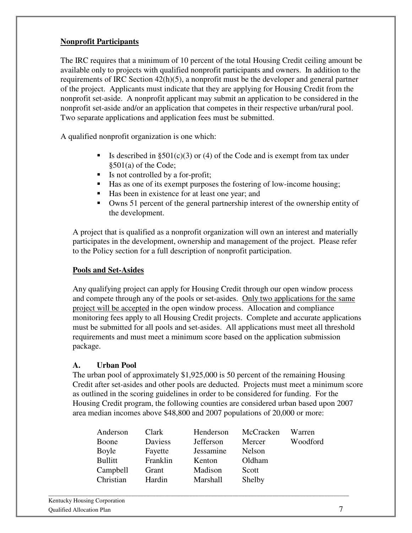#### **Nonprofit Participants**

The IRC requires that a minimum of 10 percent of the total Housing Credit ceiling amount be available only to projects with qualified nonprofit participants and owners. In addition to the requirements of IRC Section 42(h)(5), a nonprofit must be the developer and general partner of the project. Applicants must indicate that they are applying for Housing Credit from the nonprofit set-aside. A nonprofit applicant may submit an application to be considered in the nonprofit set-aside and/or an application that competes in their respective urban/rural pool. Two separate applications and application fees must be submitted.

A qualified nonprofit organization is one which:

- Is described in  $\S501(c)(3)$  or (4) of the Code and is exempt from tax under §501(a) of the Code;
- Is not controlled by a for-profit;
- Has as one of its exempt purposes the fostering of low-income housing;
- Has been in existence for at least one year; and
- Owns 51 percent of the general partnership interest of the ownership entity of the development.

A project that is qualified as a nonprofit organization will own an interest and materially participates in the development, ownership and management of the project. Please refer to the Policy section for a full description of nonprofit participation.

#### **Pools and Set-Asides**

Any qualifying project can apply for Housing Credit through our open window process and compete through any of the pools or set-asides. Only two applications for the same project will be accepted in the open window process. Allocation and compliance monitoring fees apply to all Housing Credit projects. Complete and accurate applications must be submitted for all pools and set-asides. All applications must meet all threshold requirements and must meet a minimum score based on the application submission package.

#### **A. Urban Pool**

The urban pool of approximately \$1,925,000 is 50 percent of the remaining Housing Credit after set-asides and other pools are deducted. Projects must meet a minimum score as outlined in the scoring guidelines in order to be considered for funding. For the Housing Credit program, the following counties are considered urban based upon 2007 area median incomes above \$48,800 and 2007 populations of 20,000 or more:

| Anderson       | Clark    | Henderson        | McCracken | Warren   |
|----------------|----------|------------------|-----------|----------|
| Boone          | Daviess  | <b>Jefferson</b> | Mercer    | Woodford |
| Boyle          | Fayette  | Jessamine        | Nelson    |          |
| <b>Bullitt</b> | Franklin | Kenton           | Oldham    |          |
| Campbell       | Grant    | Madison          | Scott     |          |
| Christian      | Hardin   | Marshall         | Shelby    |          |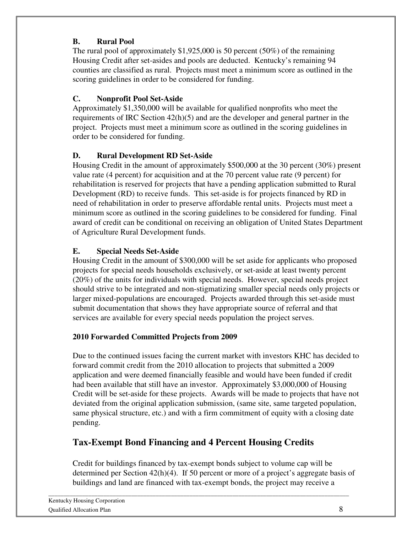#### **B. Rural Pool**

The rural pool of approximately  $$1,925,000$  is 50 percent (50%) of the remaining Housing Credit after set-asides and pools are deducted. Kentucky's remaining 94 counties are classified as rural. Projects must meet a minimum score as outlined in the scoring guidelines in order to be considered for funding.

## **C. Nonprofit Pool Set-Aside**

Approximately \$1,350,000 will be available for qualified nonprofits who meet the requirements of IRC Section  $42(h)(5)$  and are the developer and general partner in the project. Projects must meet a minimum score as outlined in the scoring guidelines in order to be considered for funding.

## **D. Rural Development RD Set-Aside**

Housing Credit in the amount of approximately \$500,000 at the 30 percent (30%) present value rate (4 percent) for acquisition and at the 70 percent value rate (9 percent) for rehabilitation is reserved for projects that have a pending application submitted to Rural Development (RD) to receive funds. This set-aside is for projects financed by RD in need of rehabilitation in order to preserve affordable rental units. Projects must meet a minimum score as outlined in the scoring guidelines to be considered for funding. Final award of credit can be conditional on receiving an obligation of United States Department of Agriculture Rural Development funds.

#### **E. Special Needs Set-Aside**

Housing Credit in the amount of \$300,000 will be set aside for applicants who proposed projects for special needs households exclusively, or set-aside at least twenty percent (20%) of the units for individuals with special needs. However, special needs project should strive to be integrated and non-stigmatizing smaller special needs only projects or larger mixed-populations are encouraged. Projects awarded through this set-aside must submit documentation that shows they have appropriate source of referral and that services are available for every special needs population the project serves.

#### **2010 Forwarded Committed Projects from 2009**

Due to the continued issues facing the current market with investors KHC has decided to forward commit credit from the 2010 allocation to projects that submitted a 2009 application and were deemed financially feasible and would have been funded if credit had been available that still have an investor. Approximately \$3,000,000 of Housing Credit will be set-aside for these projects. Awards will be made to projects that have not deviated from the original application submission, (same site, same targeted population, same physical structure, etc.) and with a firm commitment of equity with a closing date pending.

## **Tax-Exempt Bond Financing and 4 Percent Housing Credits**

Credit for buildings financed by tax-exempt bonds subject to volume cap will be determined per Section 42(h)(4). If 50 percent or more of a project's aggregate basis of buildings and land are financed with tax-exempt bonds, the project may receive a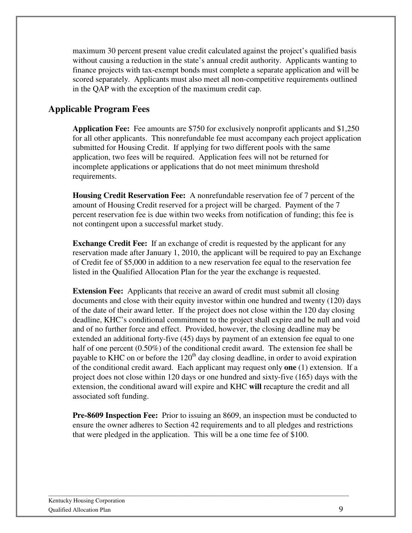maximum 30 percent present value credit calculated against the project's qualified basis without causing a reduction in the state's annual credit authority. Applicants wanting to finance projects with tax-exempt bonds must complete a separate application and will be scored separately. Applicants must also meet all non-competitive requirements outlined in the QAP with the exception of the maximum credit cap.

## **Applicable Program Fees**

**Application Fee:** Fee amounts are \$750 for exclusively nonprofit applicants and \$1,250 for all other applicants. This nonrefundable fee must accompany each project application submitted for Housing Credit. If applying for two different pools with the same application, two fees will be required. Application fees will not be returned for incomplete applications or applications that do not meet minimum threshold requirements.

**Housing Credit Reservation Fee:** A nonrefundable reservation fee of 7 percent of the amount of Housing Credit reserved for a project will be charged. Payment of the 7 percent reservation fee is due within two weeks from notification of funding; this fee is not contingent upon a successful market study.

**Exchange Credit Fee:** If an exchange of credit is requested by the applicant for any reservation made after January 1, 2010, the applicant will be required to pay an Exchange of Credit fee of \$5,000 in addition to a new reservation fee equal to the reservation fee listed in the Qualified Allocation Plan for the year the exchange is requested.

**Extension Fee:** Applicants that receive an award of credit must submit all closing documents and close with their equity investor within one hundred and twenty (120) days of the date of their award letter. If the project does not close within the 120 day closing deadline, KHC's conditional commitment to the project shall expire and be null and void and of no further force and effect. Provided, however, the closing deadline may be extended an additional forty-five (45) days by payment of an extension fee equal to one half of one percent (0.50%) of the conditional credit award. The extension fee shall be payable to KHC on or before the  $120<sup>th</sup>$  day closing deadline, in order to avoid expiration of the conditional credit award. Each applicant may request only **one** (1) extension. If a project does not close within 120 days or one hundred and sixty-five (165) days with the extension, the conditional award will expire and KHC **will** recapture the credit and all associated soft funding.

**Pre-8609 Inspection Fee:** Prior to issuing an 8609, an inspection must be conducted to ensure the owner adheres to Section 42 requirements and to all pledges and restrictions that were pledged in the application. This will be a one time fee of \$100.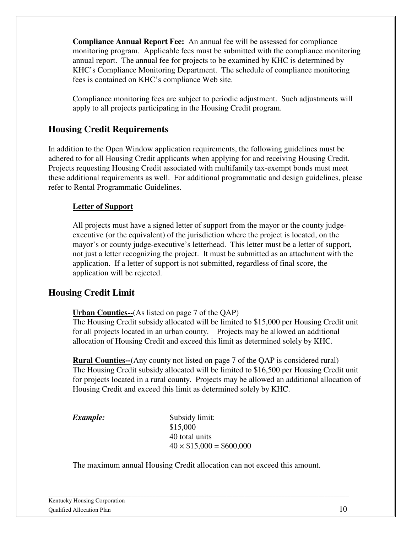**Compliance Annual Report Fee:** An annual fee will be assessed for compliance monitoring program. Applicable fees must be submitted with the compliance monitoring annual report. The annual fee for projects to be examined by KHC is determined by KHC's Compliance Monitoring Department. The schedule of compliance monitoring fees is contained on KHC's compliance Web site.

Compliance monitoring fees are subject to periodic adjustment. Such adjustments will apply to all projects participating in the Housing Credit program.

#### **Housing Credit Requirements**

In addition to the Open Window application requirements, the following guidelines must be adhered to for all Housing Credit applicants when applying for and receiving Housing Credit. Projects requesting Housing Credit associated with multifamily tax-exempt bonds must meet these additional requirements as well. For additional programmatic and design guidelines, please refer to Rental Programmatic Guidelines.

#### **Letter of Support**

All projects must have a signed letter of support from the mayor or the county judgeexecutive (or the equivalent) of the jurisdiction where the project is located, on the mayor's or county judge-executive's letterhead. This letter must be a letter of support, not just a letter recognizing the project. It must be submitted as an attachment with the application. If a letter of support is not submitted, regardless of final score, the application will be rejected.

#### **Housing Credit Limit**

#### **Urban Counties--**(As listed on page 7 of the QAP)

The Housing Credit subsidy allocated will be limited to \$15,000 per Housing Credit unit for all projects located in an urban county. Projects may be allowed an additional allocation of Housing Credit and exceed this limit as determined solely by KHC.

**Rural Counties--**(Any county not listed on page 7 of the QAP is considered rural) The Housing Credit subsidy allocated will be limited to \$16,500 per Housing Credit unit for projects located in a rural county. Projects may be allowed an additional allocation of Housing Credit and exceed this limit as determined solely by KHC.

**Example:** Subsidy limit: \$15,000 40 total units  $40 \times $15,000 = $600,000$ 

The maximum annual Housing Credit allocation can not exceed this amount.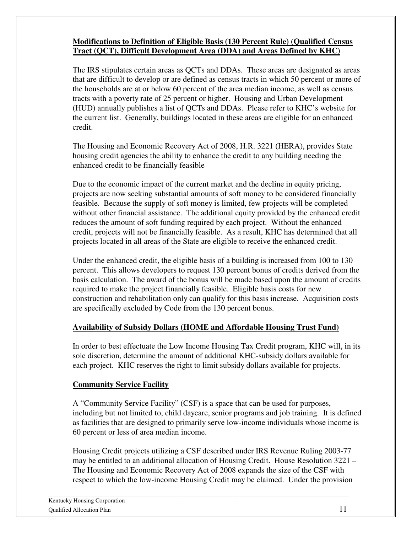#### **Modifications to Definition of Eligible Basis (130 Percent Rule) (Qualified Census Tract (QCT), Difficult Development Area (DDA) and Areas Defined by KHC)**

The IRS stipulates certain areas as QCTs and DDAs. These areas are designated as areas that are difficult to develop or are defined as census tracts in which 50 percent or more of the households are at or below 60 percent of the area median income, as well as census tracts with a poverty rate of 25 percent or higher. Housing and Urban Development (HUD) annually publishes a list of QCTs and DDAs. Please refer to KHC's website for the current list. Generally, buildings located in these areas are eligible for an enhanced credit.

The Housing and Economic Recovery Act of 2008, H.R. 3221 (HERA), provides State housing credit agencies the ability to enhance the credit to any building needing the enhanced credit to be financially feasible

Due to the economic impact of the current market and the decline in equity pricing, projects are now seeking substantial amounts of soft money to be considered financially feasible. Because the supply of soft money is limited, few projects will be completed without other financial assistance. The additional equity provided by the enhanced credit reduces the amount of soft funding required by each project. Without the enhanced credit, projects will not be financially feasible. As a result, KHC has determined that all projects located in all areas of the State are eligible to receive the enhanced credit.

Under the enhanced credit, the eligible basis of a building is increased from 100 to 130 percent. This allows developers to request 130 percent bonus of credits derived from the basis calculation. The award of the bonus will be made based upon the amount of credits required to make the project financially feasible. Eligible basis costs for new construction and rehabilitation only can qualify for this basis increase. Acquisition costs are specifically excluded by Code from the 130 percent bonus.

#### **Availability of Subsidy Dollars (HOME and Affordable Housing Trust Fund)**

In order to best effectuate the Low Income Housing Tax Credit program, KHC will, in its sole discretion, determine the amount of additional KHC-subsidy dollars available for each project. KHC reserves the right to limit subsidy dollars available for projects.

#### **Community Service Facility**

A "Community Service Facility" (CSF) is a space that can be used for purposes, including but not limited to, child daycare, senior programs and job training. It is defined as facilities that are designed to primarily serve low-income individuals whose income is 60 percent or less of area median income.

Housing Credit projects utilizing a CSF described under IRS Revenue Ruling 2003-77 may be entitled to an additional allocation of Housing Credit. House Resolution 3221 – The Housing and Economic Recovery Act of 2008 expands the size of the CSF with respect to which the low-income Housing Credit may be claimed. Under the provision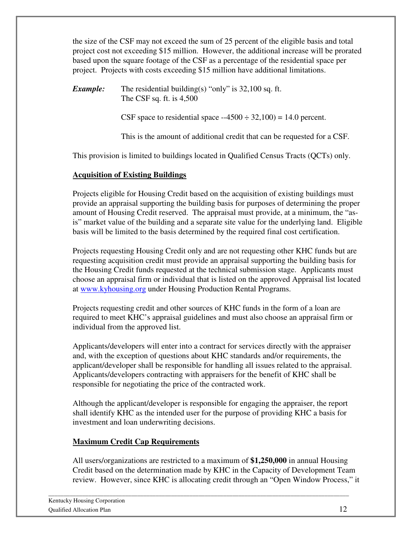the size of the CSF may not exceed the sum of 25 percent of the eligible basis and total project cost not exceeding \$15 million. However, the additional increase will be prorated based upon the square footage of the CSF as a percentage of the residential space per project. Projects with costs exceeding \$15 million have additional limitations.

*Example:* The residential building(s) "only" is 32,100 sq. ft. The CSF sq. ft. is 4,500

CSF space to residential space  $-4500 \div 32{,}100$  = 14.0 percent.

This is the amount of additional credit that can be requested for a CSF.

This provision is limited to buildings located in Qualified Census Tracts (QCTs) only.

#### **Acquisition of Existing Buildings**

Projects eligible for Housing Credit based on the acquisition of existing buildings must provide an appraisal supporting the building basis for purposes of determining the proper amount of Housing Credit reserved. The appraisal must provide, at a minimum, the "asis" market value of the building and a separate site value for the underlying land. Eligible basis will be limited to the basis determined by the required final cost certification.

Projects requesting Housing Credit only and are not requesting other KHC funds but are requesting acquisition credit must provide an appraisal supporting the building basis for the Housing Credit funds requested at the technical submission stage. Applicants must choose an appraisal firm or individual that is listed on the approved Appraisal list located at www.kyhousing.org under Housing Production Rental Programs.

Projects requesting credit and other sources of KHC funds in the form of a loan are required to meet KHC's appraisal guidelines and must also choose an appraisal firm or individual from the approved list.

Applicants/developers will enter into a contract for services directly with the appraiser and, with the exception of questions about KHC standards and/or requirements, the applicant/developer shall be responsible for handling all issues related to the appraisal. Applicants/developers contracting with appraisers for the benefit of KHC shall be responsible for negotiating the price of the contracted work.

Although the applicant/developer is responsible for engaging the appraiser, the report shall identify KHC as the intended user for the purpose of providing KHC a basis for investment and loan underwriting decisions.

#### **Maximum Credit Cap Requirements**

All users/organizations are restricted to a maximum of **\$1,250,000** in annual Housing Credit based on the determination made by KHC in the Capacity of Development Team review. However, since KHC is allocating credit through an "Open Window Process," it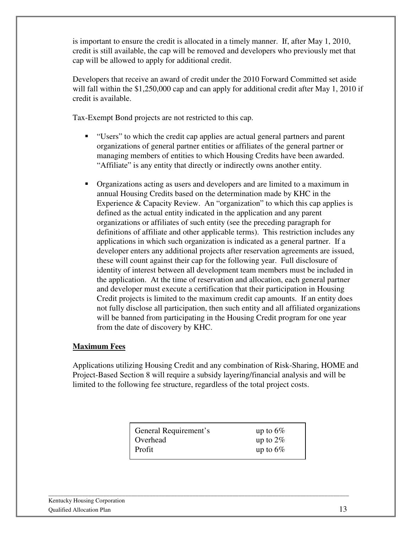is important to ensure the credit is allocated in a timely manner. If, after May 1, 2010, credit is still available, the cap will be removed and developers who previously met that cap will be allowed to apply for additional credit.

Developers that receive an award of credit under the 2010 Forward Committed set aside will fall within the \$1,250,000 cap and can apply for additional credit after May 1, 2010 if credit is available.

Tax-Exempt Bond projects are not restricted to this cap.

- "Users" to which the credit cap applies are actual general partners and parent organizations of general partner entities or affiliates of the general partner or managing members of entities to which Housing Credits have been awarded. "Affiliate" is any entity that directly or indirectly owns another entity.
- Organizations acting as users and developers and are limited to a maximum in annual Housing Credits based on the determination made by KHC in the Experience & Capacity Review. An "organization" to which this cap applies is defined as the actual entity indicated in the application and any parent organizations or affiliates of such entity (see the preceding paragraph for definitions of affiliate and other applicable terms). This restriction includes any applications in which such organization is indicated as a general partner. If a developer enters any additional projects after reservation agreements are issued, these will count against their cap for the following year. Full disclosure of identity of interest between all development team members must be included in the application. At the time of reservation and allocation, each general partner and developer must execute a certification that their participation in Housing Credit projects is limited to the maximum credit cap amounts. If an entity does not fully disclose all participation, then such entity and all affiliated organizations will be banned from participating in the Housing Credit program for one year from the date of discovery by KHC.

#### **Maximum Fees**

Applications utilizing Housing Credit and any combination of Risk-Sharing, HOME and Project-Based Section 8 will require a subsidy layering/financial analysis and will be limited to the following fee structure, regardless of the total project costs.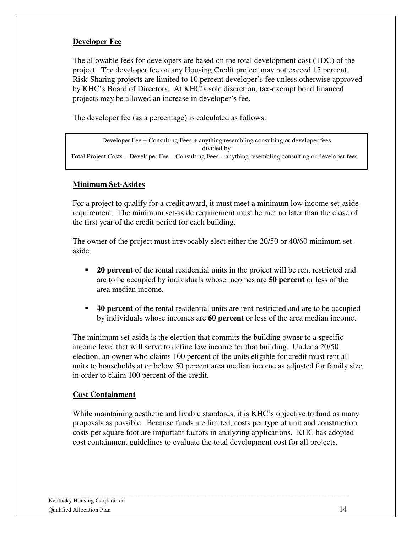#### **Developer Fee**

The allowable fees for developers are based on the total development cost (TDC) of the project. The developer fee on any Housing Credit project may not exceed 15 percent. Risk-Sharing projects are limited to 10 percent developer's fee unless otherwise approved by KHC's Board of Directors. At KHC's sole discretion, tax-exempt bond financed projects may be allowed an increase in developer's fee.

The developer fee (as a percentage) is calculated as follows:

Developer Fee + Consulting Fees + anything resembling consulting or developer fees divided by Total Project Costs – Developer Fee – Consulting Fees – anything resembling consulting or developer fees

#### **Minimum Set-Asides**

For a project to qualify for a credit award, it must meet a minimum low income set-aside requirement. The minimum set-aside requirement must be met no later than the close of the first year of the credit period for each building.

The owner of the project must irrevocably elect either the 20/50 or 40/60 minimum setaside.

- **20 percent** of the rental residential units in the project will be rent restricted and are to be occupied by individuals whose incomes are **50 percent** or less of the area median income.
- **40 percent** of the rental residential units are rent-restricted and are to be occupied by individuals whose incomes are **60 percent** or less of the area median income.

The minimum set-aside is the election that commits the building owner to a specific income level that will serve to define low income for that building. Under a 20/50 election, an owner who claims 100 percent of the units eligible for credit must rent all units to households at or below 50 percent area median income as adjusted for family size in order to claim 100 percent of the credit.

#### **Cost Containment**

While maintaining aesthetic and livable standards, it is KHC's objective to fund as many proposals as possible. Because funds are limited, costs per type of unit and construction costs per square foot are important factors in analyzing applications. KHC has adopted cost containment guidelines to evaluate the total development cost for all projects.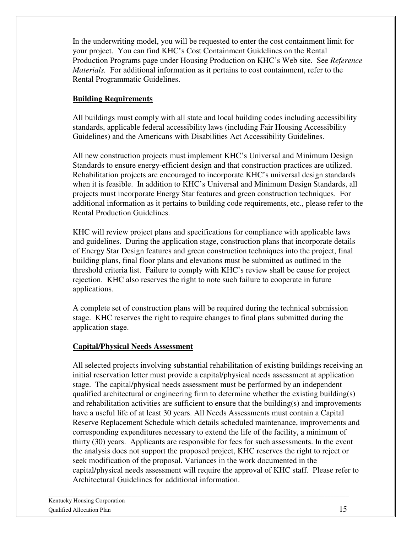In the underwriting model, you will be requested to enter the cost containment limit for your project. You can find KHC's Cost Containment Guidelines on the Rental Production Programs page under Housing Production on KHC's Web site. See *Reference Materials.* For additional information as it pertains to cost containment, refer to the Rental Programmatic Guidelines.

#### **Building Requirements**

All buildings must comply with all state and local building codes including accessibility standards, applicable federal accessibility laws (including Fair Housing Accessibility Guidelines) and the Americans with Disabilities Act Accessibility Guidelines.

All new construction projects must implement KHC's Universal and Minimum Design Standards to ensure energy-efficient design and that construction practices are utilized. Rehabilitation projects are encouraged to incorporate KHC's universal design standards when it is feasible. In addition to KHC's Universal and Minimum Design Standards, all projects must incorporate Energy Star features and green construction techniques. For additional information as it pertains to building code requirements, etc., please refer to the Rental Production Guidelines.

KHC will review project plans and specifications for compliance with applicable laws and guidelines. During the application stage, construction plans that incorporate details of Energy Star Design features and green construction techniques into the project, final building plans, final floor plans and elevations must be submitted as outlined in the threshold criteria list. Failure to comply with KHC's review shall be cause for project rejection. KHC also reserves the right to note such failure to cooperate in future applications.

A complete set of construction plans will be required during the technical submission stage. KHC reserves the right to require changes to final plans submitted during the application stage.

#### **Capital/Physical Needs Assessment**

All selected projects involving substantial rehabilitation of existing buildings receiving an initial reservation letter must provide a capital/physical needs assessment at application stage. The capital/physical needs assessment must be performed by an independent qualified architectural or engineering firm to determine whether the existing building(s) and rehabilitation activities are sufficient to ensure that the building(s) and improvements have a useful life of at least 30 years. All Needs Assessments must contain a Capital Reserve Replacement Schedule which details scheduled maintenance, improvements and corresponding expenditures necessary to extend the life of the facility, a minimum of thirty (30) years. Applicants are responsible for fees for such assessments. In the event the analysis does not support the proposed project, KHC reserves the right to reject or seek modification of the proposal. Variances in the work documented in the capital/physical needs assessment will require the approval of KHC staff. Please refer to Architectural Guidelines for additional information.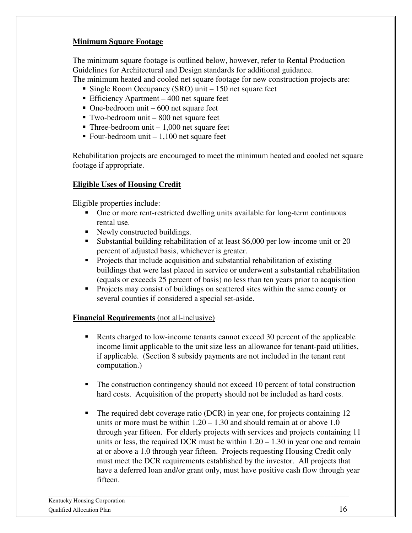#### **Minimum Square Footage**

The minimum square footage is outlined below, however, refer to Rental Production Guidelines for Architectural and Design standards for additional guidance. The minimum heated and cooled net square footage for new construction projects are:

- 
- Single Room Occupancy (SRO) unit 150 net square feet
- Efficiency Apartment 400 net square feet
- $\blacksquare$  One-bedroom unit 600 net square feet
- Two-bedroom unit 800 net square feet
- $\blacksquare$  Three-bedroom unit 1,000 net square feet
- Four-bedroom unit  $-1,100$  net square feet

Rehabilitation projects are encouraged to meet the minimum heated and cooled net square footage if appropriate.

#### **Eligible Uses of Housing Credit**

Eligible properties include:

- One or more rent-restricted dwelling units available for long-term continuous rental use.
- Newly constructed buildings.
- Substantial building rehabilitation of at least \$6,000 per low-income unit or 20 percent of adjusted basis, whichever is greater.
- **Projects that include acquisition and substantial rehabilitation of existing** buildings that were last placed in service or underwent a substantial rehabilitation (equals or exceeds 25 percent of basis) no less than ten years prior to acquisition
- **Projects may consist of buildings on scattered sites within the same county or** several counties if considered a special set-aside.

#### **Financial Requirements** (not all-inclusive)

- **Rents charged to low-income tenants cannot exceed 30 percent of the applicable** income limit applicable to the unit size less an allowance for tenant-paid utilities, if applicable. (Section 8 subsidy payments are not included in the tenant rent computation.)
- The construction contingency should not exceed 10 percent of total construction hard costs. Acquisition of the property should not be included as hard costs.
- The required debt coverage ratio (DCR) in year one, for projects containing 12 units or more must be within 1.20 – 1.30 and should remain at or above 1.0 through year fifteen. For elderly projects with services and projects containing 11 units or less, the required DCR must be within  $1.20 - 1.30$  in year one and remain at or above a 1.0 through year fifteen. Projects requesting Housing Credit only must meet the DCR requirements established by the investor. All projects that have a deferred loan and/or grant only, must have positive cash flow through year fifteen.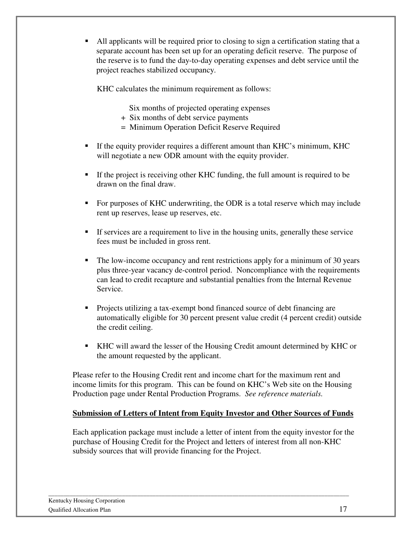All applicants will be required prior to closing to sign a certification stating that a separate account has been set up for an operating deficit reserve. The purpose of the reserve is to fund the day-to-day operating expenses and debt service until the project reaches stabilized occupancy.

KHC calculates the minimum requirement as follows:

Six months of projected operating expenses

- + Six months of debt service payments
- = Minimum Operation Deficit Reserve Required
- If the equity provider requires a different amount than KHC's minimum, KHC will negotiate a new ODR amount with the equity provider.
- If the project is receiving other KHC funding, the full amount is required to be drawn on the final draw.
- For purposes of KHC underwriting, the ODR is a total reserve which may include rent up reserves, lease up reserves, etc.
- If services are a requirement to live in the housing units, generally these service fees must be included in gross rent.
- The low-income occupancy and rent restrictions apply for a minimum of 30 years plus three-year vacancy de-control period. Noncompliance with the requirements can lead to credit recapture and substantial penalties from the Internal Revenue Service.
- Projects utilizing a tax-exempt bond financed source of debt financing are automatically eligible for 30 percent present value credit (4 percent credit) outside the credit ceiling.
- KHC will award the lesser of the Housing Credit amount determined by KHC or the amount requested by the applicant.

Please refer to the Housing Credit rent and income chart for the maximum rent and income limits for this program. This can be found on KHC's Web site on the Housing Production page under Rental Production Programs. *See reference materials.*

#### **Submission of Letters of Intent from Equity Investor and Other Sources of Funds**

Each application package must include a letter of intent from the equity investor for the purchase of Housing Credit for the Project and letters of interest from all non-KHC subsidy sources that will provide financing for the Project.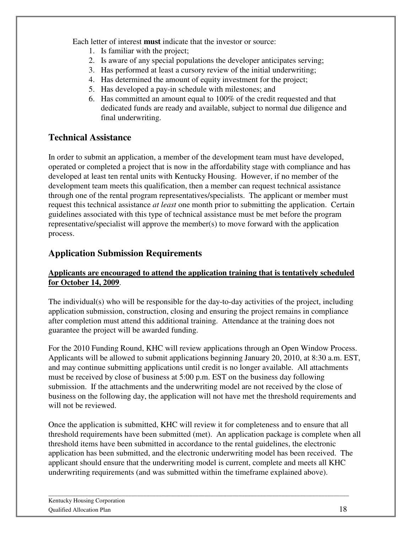Each letter of interest **must** indicate that the investor or source:

- 1. Is familiar with the project;
- 2. Is aware of any special populations the developer anticipates serving;
- 3. Has performed at least a cursory review of the initial underwriting;
- 4. Has determined the amount of equity investment for the project;
- 5. Has developed a pay-in schedule with milestones; and
- 6. Has committed an amount equal to 100% of the credit requested and that dedicated funds are ready and available, subject to normal due diligence and final underwriting.

## **Technical Assistance**

In order to submit an application, a member of the development team must have developed, operated or completed a project that is now in the affordability stage with compliance and has developed at least ten rental units with Kentucky Housing. However, if no member of the development team meets this qualification, then a member can request technical assistance through one of the rental program representatives/specialists. The applicant or member must request this technical assistance *at least* one month prior to submitting the application. Certain guidelines associated with this type of technical assistance must be met before the program representative/specialist will approve the member(s) to move forward with the application process.

## **Application Submission Requirements**

#### **Applicants are encouraged to attend the application training that is tentatively scheduled for October 14, 2009**.

The individual(s) who will be responsible for the day-to-day activities of the project, including application submission, construction, closing and ensuring the project remains in compliance after completion must attend this additional training. Attendance at the training does not guarantee the project will be awarded funding.

For the 2010 Funding Round, KHC will review applications through an Open Window Process. Applicants will be allowed to submit applications beginning January 20, 2010, at 8:30 a.m. EST, and may continue submitting applications until credit is no longer available. All attachments must be received by close of business at 5:00 p.m. EST on the business day following submission. If the attachments and the underwriting model are not received by the close of business on the following day, the application will not have met the threshold requirements and will not be reviewed.

Once the application is submitted, KHC will review it for completeness and to ensure that all threshold requirements have been submitted (met). An application package is complete when all threshold items have been submitted in accordance to the rental guidelines, the electronic application has been submitted, and the electronic underwriting model has been received. The applicant should ensure that the underwriting model is current, complete and meets all KHC underwriting requirements (and was submitted within the timeframe explained above).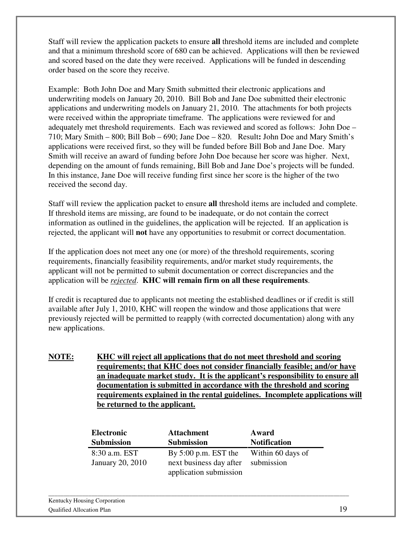Staff will review the application packets to ensure **all** threshold items are included and complete and that a minimum threshold score of 680 can be achieved. Applications will then be reviewed and scored based on the date they were received. Applications will be funded in descending order based on the score they receive.

Example: Both John Doe and Mary Smith submitted their electronic applications and underwriting models on January 20, 2010. Bill Bob and Jane Doe submitted their electronic applications and underwriting models on January 21, 2010. The attachments for both projects were received within the appropriate timeframe. The applications were reviewed for and adequately met threshold requirements. Each was reviewed and scored as follows: John Doe – 710; Mary Smith – 800; Bill Bob – 690; Jane Doe – 820. Result**:** John Doe and Mary Smith's applications were received first, so they will be funded before Bill Bob and Jane Doe. Mary Smith will receive an award of funding before John Doe because her score was higher. Next, depending on the amount of funds remaining, Bill Bob and Jane Doe's projects will be funded. In this instance, Jane Doe will receive funding first since her score is the higher of the two received the second day.

Staff will review the application packet to ensure **all** threshold items are included and complete. If threshold items are missing, are found to be inadequate, or do not contain the correct information as outlined in the guidelines, the application will be rejected. If an application is rejected, the applicant will **not** have any opportunities to resubmit or correct documentation.

If the application does not meet any one (or more) of the threshold requirements, scoring requirements, financially feasibility requirements, and/or market study requirements, the applicant will not be permitted to submit documentation or correct discrepancies and the application will be *rejected*. **KHC will remain firm on all these requirements**.

If credit is recaptured due to applicants not meeting the established deadlines or if credit is still available after July 1, 2010, KHC will reopen the window and those applications that were previously rejected will be permitted to reapply (with corrected documentation) along with any new applications.

**NOTE: KHC will reject all applications that do not meet threshold and scoring requirements; that KHC does not consider financially feasible; and/or have an inadequate market study. It is the applicant's responsibility to ensure all documentation is submitted in accordance with the threshold and scoring requirements explained in the rental guidelines. Incomplete applications will be returned to the applicant.**

| Electronic              | <b>Attachment</b>                  | Award               |
|-------------------------|------------------------------------|---------------------|
| <b>Submission</b>       | <b>Submission</b>                  | <b>Notification</b> |
| 8:30 a.m. EST           | By $5:00$ p.m. EST the             | Within 60 days of   |
| <b>January 20, 2010</b> | next business day after submission |                     |
|                         | application submission             |                     |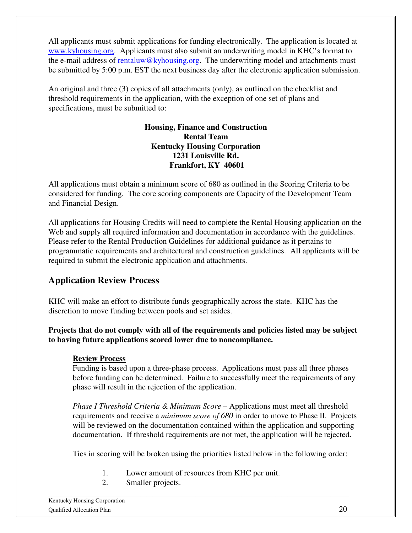All applicants must submit applications for funding electronically. The application is located at www.kyhousing.org. Applicants must also submit an underwriting model in KHC's format to the e-mail address of rentaluw@kyhousing.org. The underwriting model and attachments must be submitted by 5:00 p.m. EST the next business day after the electronic application submission.

An original and three (3) copies of all attachments (only), as outlined on the checklist and threshold requirements in the application, with the exception of one set of plans and specifications, must be submitted to:

#### **Housing, Finance and Construction Rental Team Kentucky Housing Corporation 1231 Louisville Rd. Frankfort, KY 40601**

All applications must obtain a minimum score of 680 as outlined in the Scoring Criteria to be considered for funding. The core scoring components are Capacity of the Development Team and Financial Design.

All applications for Housing Credits will need to complete the Rental Housing application on the Web and supply all required information and documentation in accordance with the guidelines. Please refer to the Rental Production Guidelines for additional guidance as it pertains to programmatic requirements and architectural and construction guidelines. All applicants will be required to submit the electronic application and attachments.

## **Application Review Process**

KHC will make an effort to distribute funds geographically across the state. KHC has the discretion to move funding between pools and set asides.

#### **Projects that do not comply with all of the requirements and policies listed may be subject to having future applications scored lower due to noncompliance.**

#### **Review Process**

Funding is based upon a three-phase process. Applications must pass all three phases before funding can be determined. Failure to successfully meet the requirements of any phase will result in the rejection of the application.

*Phase I Threshold Criteria & Minimum Score –* Applications must meet all threshold requirements and receive a *minimum score of 680* in order to move to Phase II. Projects will be reviewed on the documentation contained within the application and supporting documentation. If threshold requirements are not met, the application will be rejected.

Ties in scoring will be broken using the priorities listed below in the following order:

1. Lower amount of resources from KHC per unit.

\_\_\_\_\_\_\_\_\_\_\_\_\_\_\_\_\_\_\_\_\_\_\_\_\_\_\_\_\_\_\_\_\_\_\_\_\_\_\_\_\_\_\_\_\_\_\_\_\_\_\_\_\_\_\_\_\_\_\_\_\_\_\_\_\_\_\_\_\_\_\_\_\_\_\_\_\_\_\_\_\_\_\_\_\_\_\_\_\_\_\_\_\_\_\_\_\_\_

2. Smaller projects.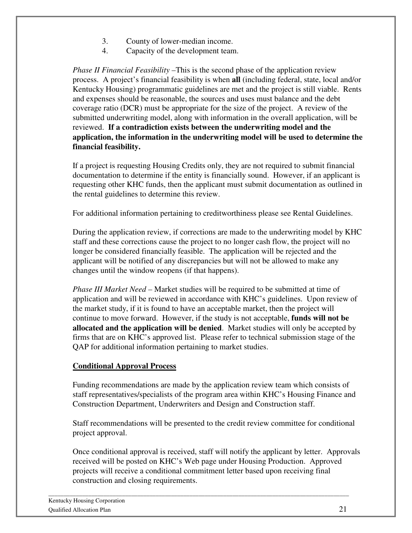- 3. County of lower-median income.
- 4. Capacity of the development team.

*Phase II Financial Feasibility –*This is the second phase of the application review process. A project's financial feasibility is when **all** (including federal, state, local and/or Kentucky Housing) programmatic guidelines are met and the project is still viable. Rents and expenses should be reasonable, the sources and uses must balance and the debt coverage ratio (DCR) must be appropriate for the size of the project. A review of the submitted underwriting model, along with information in the overall application, will be reviewed. **If a contradiction exists between the underwriting model and the application, the information in the underwriting model will be used to determine the financial feasibility.** 

If a project is requesting Housing Credits only, they are not required to submit financial documentation to determine if the entity is financially sound. However, if an applicant is requesting other KHC funds, then the applicant must submit documentation as outlined in the rental guidelines to determine this review.

For additional information pertaining to creditworthiness please see Rental Guidelines.

During the application review, if corrections are made to the underwriting model by KHC staff and these corrections cause the project to no longer cash flow, the project will no longer be considered financially feasible. The application will be rejected and the applicant will be notified of any discrepancies but will not be allowed to make any changes until the window reopens (if that happens).

*Phase III Market Need –* Market studies will be required to be submitted at time of application and will be reviewed in accordance with KHC's guidelines. Upon review of the market study, if it is found to have an acceptable market, then the project will continue to move forward. However, if the study is not acceptable, **funds will not be allocated and the application will be denied**. Market studies will only be accepted by firms that are on KHC's approved list. Please refer to technical submission stage of the QAP for additional information pertaining to market studies.

#### **Conditional Approval Process**

Funding recommendations are made by the application review team which consists of staff representatives/specialists of the program area within KHC's Housing Finance and Construction Department, Underwriters and Design and Construction staff.

Staff recommendations will be presented to the credit review committee for conditional project approval.

Once conditional approval is received, staff will notify the applicant by letter. Approvals received will be posted on KHC's Web page under Housing Production. Approved projects will receive a conditional commitment letter based upon receiving final construction and closing requirements.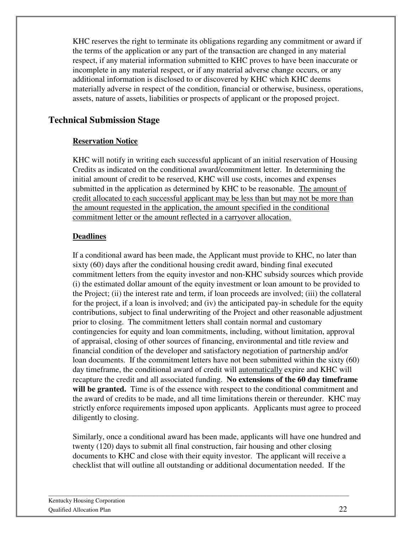KHC reserves the right to terminate its obligations regarding any commitment or award if the terms of the application or any part of the transaction are changed in any material respect, if any material information submitted to KHC proves to have been inaccurate or incomplete in any material respect, or if any material adverse change occurs, or any additional information is disclosed to or discovered by KHC which KHC deems materially adverse in respect of the condition, financial or otherwise, business, operations, assets, nature of assets, liabilities or prospects of applicant or the proposed project.

## **Technical Submission Stage**

#### **Reservation Notice**

KHC will notify in writing each successful applicant of an initial reservation of Housing Credits as indicated on the conditional award/commitment letter. In determining the initial amount of credit to be reserved, KHC will use costs, incomes and expenses submitted in the application as determined by KHC to be reasonable. The amount of credit allocated to each successful applicant may be less than but may not be more than the amount requested in the application, the amount specified in the conditional commitment letter or the amount reflected in a carryover allocation.

#### **Deadlines**

If a conditional award has been made, the Applicant must provide to KHC, no later than sixty (60) days after the conditional housing credit award, binding final executed commitment letters from the equity investor and non-KHC subsidy sources which provide (i) the estimated dollar amount of the equity investment or loan amount to be provided to the Project; (ii) the interest rate and term, if loan proceeds are involved; (iii) the collateral for the project, if a loan is involved; and (iv) the anticipated pay-in schedule for the equity contributions, subject to final underwriting of the Project and other reasonable adjustment prior to closing. The commitment letters shall contain normal and customary contingencies for equity and loan commitments, including, without limitation, approval of appraisal, closing of other sources of financing, environmental and title review and financial condition of the developer and satisfactory negotiation of partnership and/or loan documents. If the commitment letters have not been submitted within the sixty (60) day timeframe, the conditional award of credit will automatically expire and KHC will recapture the credit and all associated funding. **No extensions of the 60 day timeframe**  will be granted. Time is of the essence with respect to the conditional commitment and the award of credits to be made, and all time limitations therein or thereunder. KHC may strictly enforce requirements imposed upon applicants. Applicants must agree to proceed diligently to closing.

Similarly, once a conditional award has been made, applicants will have one hundred and twenty (120) days to submit all final construction, fair housing and other closing documents to KHC and close with their equity investor. The applicant will receive a checklist that will outline all outstanding or additional documentation needed. If the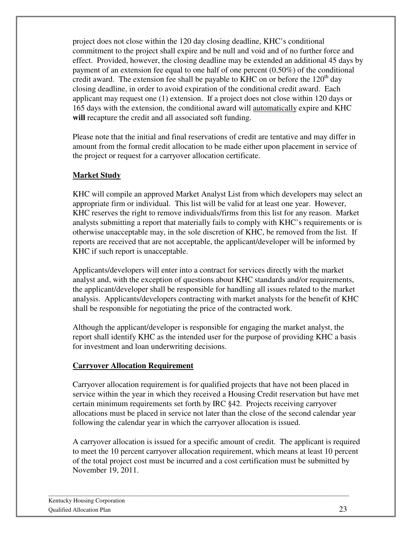project does not close within the 120 day closing deadline, KHC's conditional commitment to the project shall expire and be null and void and of no further force and effect. Provided, however, the closing deadline may be extended an additional 45 days by payment of an extension fee equal to one half of one percent (0.50%) of the conditional credit award. The extension fee shall be payable to KHC on or before the  $120<sup>th</sup>$  day closing deadline, in order to avoid expiration of the conditional credit award. Each applicant may request one (1) extension. If a project does not close within 120 days or 165 days with the extension, the conditional award will automatically expire and KHC **will** recapture the credit and all associated soft funding.

Please note that the initial and final reservations of credit are tentative and may differ in amount from the formal credit allocation to be made either upon placement in service of the project or request for a carryover allocation certificate.

#### **Market Study**

KHC will compile an approved Market Analyst List from which developers may select an appropriate firm or individual. This list will be valid for at least one year. However, KHC reserves the right to remove individuals/firms from this list for any reason. Market analysts submitting a report that materially fails to comply with KHC's requirements or is otherwise unacceptable may, in the sole discretion of KHC, be removed from the list. If reports are received that are not acceptable, the applicant/developer will be informed by KHC if such report is unacceptable.

Applicants/developers will enter into a contract for services directly with the market analyst and, with the exception of questions about KHC standards and/or requirements, the applicant/developer shall be responsible for handling all issues related to the market analysis. Applicants/developers contracting with market analysts for the benefit of KHC shall be responsible for negotiating the price of the contracted work.

Although the applicant/developer is responsible for engaging the market analyst, the report shall identify KHC as the intended user for the purpose of providing KHC a basis for investment and loan underwriting decisions.

#### **Carryover Allocation Requirement**

Carryover allocation requirement is for qualified projects that have not been placed in service within the year in which they received a Housing Credit reservation but have met certain minimum requirements set forth by IRC §42. Projects receiving carryover allocations must be placed in service not later than the close of the second calendar year following the calendar year in which the carryover allocation is issued.

A carryover allocation is issued for a specific amount of credit. The applicant is required to meet the 10 percent carryover allocation requirement, which means at least 10 percent of the total project cost must be incurred and a cost certification must be submitted by November 19, 2011.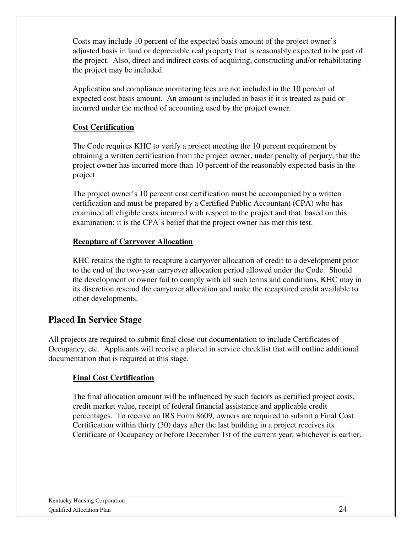Costs may include 10 percent of the expected basis amount of the project owner's adjusted basis in land or depreciable real property that is reasonably expected to be part of the project. Also, direct and indirect costs of acquiring, constructing and/or rehabilitating the project may be included.

Application and compliance monitoring fees are not included in the 10 percent of expected cost basis amount. An amount is included in basis if it is treated as paid or incurred under the method of accounting used by the project owner.

#### **Cost Certification**

The Code requires KHC to verify a project meeting the 10 percent requirement by obtaining a written certification from the project owner, under penalty of perjury, that the project owner has incurred more than 10 percent of the reasonably expected basis in the project.

The project owner's 10 percent cost certification must be accompanied by a written certification and must be prepared by a Certified Public Accountant (CPA) who has examined all eligible costs incurred with respect to the project and that, based on this examination; it is the CPA's belief that the project owner has met this test.

#### **Recapture of Carryover Allocation**

KHC retains the right to recapture a carryover allocation of credit to a development prior to the end of the two-year carryover allocation period allowed under the Code. Should the development or owner fail to comply with all such terms and conditions, KHC may in its discretion rescind the carryover allocation and make the recaptured credit available to other developments.

#### **Placed In Service Stage**

All projects are required to submit final close out documentation to include Certificates of Occupancy, etc. Applicants will receive a placed in service checklist that will outline additional documentation that is required at this stage.

#### **Final Cost Certification**

The final allocation amount will be influenced by such factors as certified project costs, credit market value, receipt of federal financial assistance and applicable credit percentages. To receive an IRS Form 8609, owners are required to submit a Final Cost Certification within thirty (30) days after the last building in a project receives its Certificate of Occupancy or before December 1st of the current year, whichever is earlier.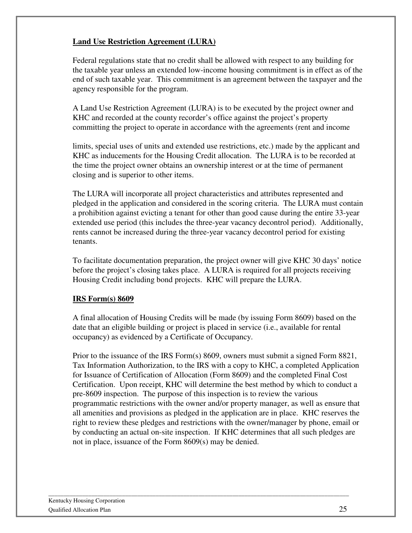#### **Land Use Restriction Agreement (LURA)**

Federal regulations state that no credit shall be allowed with respect to any building for the taxable year unless an extended low-income housing commitment is in effect as of the end of such taxable year. This commitment is an agreement between the taxpayer and the agency responsible for the program.

A Land Use Restriction Agreement (LURA) is to be executed by the project owner and KHC and recorded at the county recorder's office against the project's property committing the project to operate in accordance with the agreements (rent and income

limits, special uses of units and extended use restrictions, etc.) made by the applicant and KHC as inducements for the Housing Credit allocation. The LURA is to be recorded at the time the project owner obtains an ownership interest or at the time of permanent closing and is superior to other items.

The LURA will incorporate all project characteristics and attributes represented and pledged in the application and considered in the scoring criteria. The LURA must contain a prohibition against evicting a tenant for other than good cause during the entire 33-year extended use period (this includes the three-year vacancy decontrol period). Additionally, rents cannot be increased during the three-year vacancy decontrol period for existing tenants.

To facilitate documentation preparation, the project owner will give KHC 30 days' notice before the project's closing takes place. A LURA is required for all projects receiving Housing Credit including bond projects. KHC will prepare the LURA.

#### **IRS Form(s) 8609**

A final allocation of Housing Credits will be made (by issuing Form 8609) based on the date that an eligible building or project is placed in service (i.e., available for rental occupancy) as evidenced by a Certificate of Occupancy.

Prior to the issuance of the IRS Form(s) 8609, owners must submit a signed Form 8821, Tax Information Authorization, to the IRS with a copy to KHC, a completed Application for Issuance of Certification of Allocation (Form 8609) and the completed Final Cost Certification. Upon receipt, KHC will determine the best method by which to conduct a pre-8609 inspection. The purpose of this inspection is to review the various programmatic restrictions with the owner and/or property manager, as well as ensure that all amenities and provisions as pledged in the application are in place. KHC reserves the right to review these pledges and restrictions with the owner/manager by phone, email or by conducting an actual on-site inspection. If KHC determines that all such pledges are not in place, issuance of the Form 8609(s) may be denied.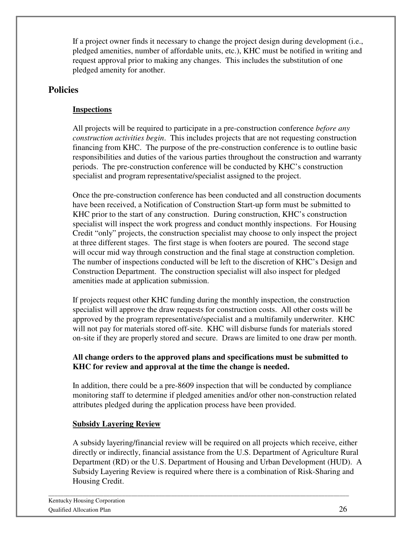If a project owner finds it necessary to change the project design during development (i.e., pledged amenities, number of affordable units, etc.), KHC must be notified in writing and request approval prior to making any changes. This includes the substitution of one pledged amenity for another.

#### **Policies**

#### **Inspections**

All projects will be required to participate in a pre-construction conference *before any construction activities begin*. This includes projects that are not requesting construction financing from KHC. The purpose of the pre-construction conference is to outline basic responsibilities and duties of the various parties throughout the construction and warranty periods. The pre-construction conference will be conducted by KHC's construction specialist and program representative/specialist assigned to the project.

Once the pre-construction conference has been conducted and all construction documents have been received, a Notification of Construction Start-up form must be submitted to KHC prior to the start of any construction. During construction, KHC's construction specialist will inspect the work progress and conduct monthly inspections. For Housing Credit "only" projects, the construction specialist may choose to only inspect the project at three different stages. The first stage is when footers are poured. The second stage will occur mid way through construction and the final stage at construction completion. The number of inspections conducted will be left to the discretion of KHC's Design and Construction Department. The construction specialist will also inspect for pledged amenities made at application submission.

If projects request other KHC funding during the monthly inspection, the construction specialist will approve the draw requests for construction costs. All other costs will be approved by the program representative/specialist and a multifamily underwriter. KHC will not pay for materials stored off-site. KHC will disburse funds for materials stored on-site if they are properly stored and secure. Draws are limited to one draw per month.

#### **All change orders to the approved plans and specifications must be submitted to KHC for review and approval at the time the change is needed.**

In addition, there could be a pre-8609 inspection that will be conducted by compliance monitoring staff to determine if pledged amenities and/or other non-construction related attributes pledged during the application process have been provided.

#### **Subsidy Layering Review**

A subsidy layering/financial review will be required on all projects which receive, either directly or indirectly, financial assistance from the U.S. Department of Agriculture Rural Department (RD) or the U.S. Department of Housing and Urban Development (HUD). A Subsidy Layering Review is required where there is a combination of Risk-Sharing and Housing Credit.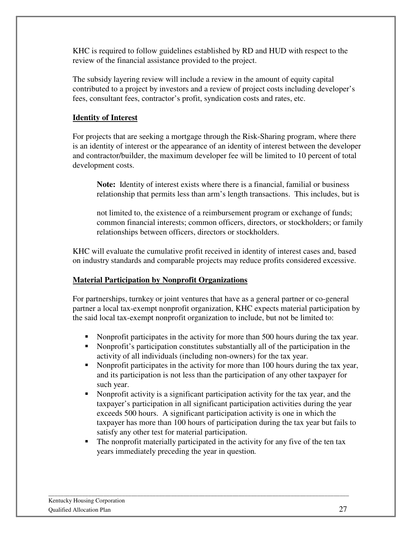KHC is required to follow guidelines established by RD and HUD with respect to the review of the financial assistance provided to the project.

The subsidy layering review will include a review in the amount of equity capital contributed to a project by investors and a review of project costs including developer's fees, consultant fees, contractor's profit, syndication costs and rates, etc.

#### **Identity of Interest**

For projects that are seeking a mortgage through the Risk-Sharing program, where there is an identity of interest or the appearance of an identity of interest between the developer and contractor/builder, the maximum developer fee will be limited to 10 percent of total development costs.

**Note:** Identity of interest exists where there is a financial, familial or business relationship that permits less than arm's length transactions. This includes, but is

not limited to, the existence of a reimbursement program or exchange of funds; common financial interests; common officers, directors, or stockholders; or family relationships between officers, directors or stockholders.

KHC will evaluate the cumulative profit received in identity of interest cases and, based on industry standards and comparable projects may reduce profits considered excessive.

#### **Material Participation by Nonprofit Organizations**

For partnerships, turnkey or joint ventures that have as a general partner or co-general partner a local tax-exempt nonprofit organization, KHC expects material participation by the said local tax-exempt nonprofit organization to include, but not be limited to:

- Nonprofit participates in the activity for more than 500 hours during the tax year.
- Nonprofit's participation constitutes substantially all of the participation in the activity of all individuals (including non-owners) for the tax year.
- Nonprofit participates in the activity for more than 100 hours during the tax year, and its participation is not less than the participation of any other taxpayer for such year.
- Nonprofit activity is a significant participation activity for the tax year, and the taxpayer's participation in all significant participation activities during the year exceeds 500 hours. A significant participation activity is one in which the taxpayer has more than 100 hours of participation during the tax year but fails to satisfy any other test for material participation.
- The nonprofit materially participated in the activity for any five of the ten tax years immediately preceding the year in question*.*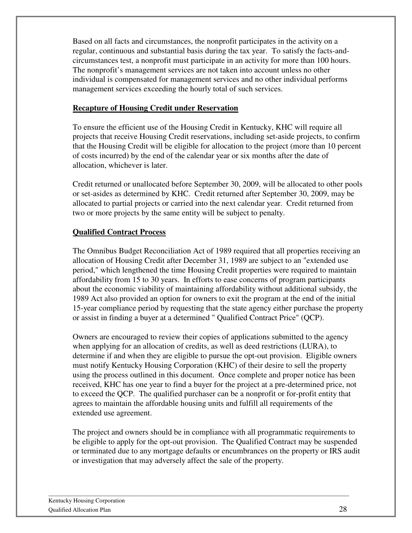Based on all facts and circumstances, the nonprofit participates in the activity on a regular, continuous and substantial basis during the tax year. To satisfy the facts-andcircumstances test, a nonprofit must participate in an activity for more than 100 hours. The nonprofit's management services are not taken into account unless no other individual is compensated for management services and no other individual performs management services exceeding the hourly total of such services.

#### **Recapture of Housing Credit under Reservation**

To ensure the efficient use of the Housing Credit in Kentucky, KHC will require all projects that receive Housing Credit reservations, including set-aside projects, to confirm that the Housing Credit will be eligible for allocation to the project (more than 10 percent of costs incurred) by the end of the calendar year or six months after the date of allocation, whichever is later.

Credit returned or unallocated before September 30, 2009, will be allocated to other pools or set-asides as determined by KHC. Credit returned after September 30, 2009, may be allocated to partial projects or carried into the next calendar year. Credit returned from two or more projects by the same entity will be subject to penalty.

#### **Qualified Contract Process**

The Omnibus Budget Reconciliation Act of 1989 required that all properties receiving an allocation of Housing Credit after December 31, 1989 are subject to an "extended use period," which lengthened the time Housing Credit properties were required to maintain affordability from 15 to 30 years. In efforts to ease concerns of program participants about the economic viability of maintaining affordability without additional subsidy, the 1989 Act also provided an option for owners to exit the program at the end of the initial 15-year compliance period by requesting that the state agency either purchase the property or assist in finding a buyer at a determined " Qualified Contract Price" (QCP).

Owners are encouraged to review their copies of applications submitted to the agency when applying for an allocation of credits, as well as deed restrictions (LURA), to determine if and when they are eligible to pursue the opt-out provision. Eligible owners must notify Kentucky Housing Corporation (KHC) of their desire to sell the property using the process outlined in this document. Once complete and proper notice has been received, KHC has one year to find a buyer for the project at a pre-determined price, not to exceed the QCP. The qualified purchaser can be a nonprofit or for-profit entity that agrees to maintain the affordable housing units and fulfill all requirements of the extended use agreement.

The project and owners should be in compliance with all programmatic requirements to be eligible to apply for the opt-out provision. The Qualified Contract may be suspended or terminated due to any mortgage defaults or encumbrances on the property or IRS audit or investigation that may adversely affect the sale of the property.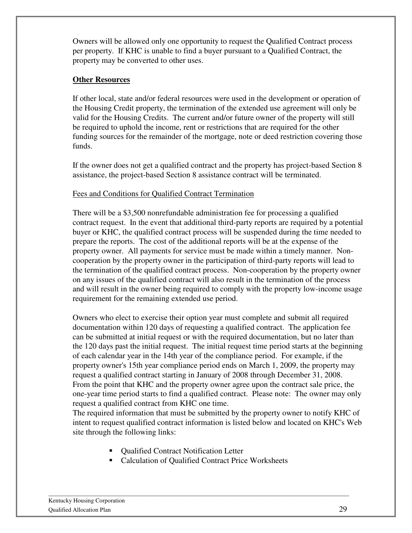Owners will be allowed only one opportunity to request the Qualified Contract process per property. If KHC is unable to find a buyer pursuant to a Qualified Contract, the property may be converted to other uses.

#### **Other Resources**

If other local, state and/or federal resources were used in the development or operation of the Housing Credit property, the termination of the extended use agreement will only be valid for the Housing Credits. The current and/or future owner of the property will still be required to uphold the income, rent or restrictions that are required for the other funding sources for the remainder of the mortgage, note or deed restriction covering those funds.

If the owner does not get a qualified contract and the property has project-based Section 8 assistance, the project-based Section 8 assistance contract will be terminated.

#### Fees and Conditions for Qualified Contract Termination

There will be a \$3,500 nonrefundable administration fee for processing a qualified contract request. In the event that additional third-party reports are required by a potential buyer or KHC, the qualified contract process will be suspended during the time needed to prepare the reports. The cost of the additional reports will be at the expense of the property owner. All payments for service must be made within a timely manner. Noncooperation by the property owner in the participation of third-party reports will lead to the termination of the qualified contract process. Non-cooperation by the property owner on any issues of the qualified contract will also result in the termination of the process and will result in the owner being required to comply with the property low-income usage requirement for the remaining extended use period.

Owners who elect to exercise their option year must complete and submit all required documentation within 120 days of requesting a qualified contract. The application fee can be submitted at initial request or with the required documentation, but no later than the 120 days past the initial request. The initial request time period starts at the beginning of each calendar year in the 14th year of the compliance period. For example, if the property owner's 15th year compliance period ends on March 1, 2009, the property may request a qualified contract starting in January of 2008 through December 31, 2008. From the point that KHC and the property owner agree upon the contract sale price, the one-year time period starts to find a qualified contract. Please note: The owner may only request a qualified contract from KHC one time.

The required information that must be submitted by the property owner to notify KHC of intent to request qualified contract information is listed below and located on KHC's Web site through the following links:

- Qualified Contract Notification Letter
- Calculation of Qualified Contract Price Worksheets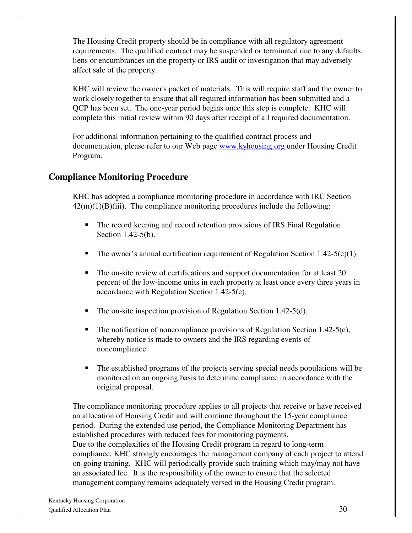The Housing Credit property should be in compliance with all regulatory agreement requirements. The qualified contract may be suspended or terminated due to any defaults, liens or encumbrances on the property or IRS audit or investigation that may adversely affect sale of the property.

KHC will review the owner's packet of materials. This will require staff and the owner to work closely together to ensure that all required information has been submitted and a QCP has been set. The one-year period begins once this step is complete. KHC will complete this initial review within 90 days after receipt of all required documentation.

For additional information pertaining to the qualified contract process and documentation, please refer to our Web page www.kyhousing.org under Housing Credit Program.

## **Compliance Monitoring Procedure**

KHC has adopted a compliance monitoring procedure in accordance with IRC Section  $42(m)(1)(B)(iii)$ . The compliance monitoring procedures include the following:

- The record keeping and record retention provisions of IRS Final Regulation Section 1.42-5(b).
- The owner's annual certification requirement of Regulation Section 1.42-5(c)(1).
- The on-site review of certifications and support documentation for at least 20 percent of the low-income units in each property at least once every three years in accordance with Regulation Section 1.42-5(c).
- The on-site inspection provision of Regulation Section 1.42-5(d).
- The notification of noncompliance provisions of Regulation Section 1.42-5(e), whereby notice is made to owners and the IRS regarding events of noncompliance.
- The established programs of the projects serving special needs populations will be monitored on an ongoing basis to determine compliance in accordance with the original proposal.

The compliance monitoring procedure applies to all projects that receive or have received an allocation of Housing Credit and will continue throughout the 15-year compliance period. During the extended use period, the Compliance Monitoring Department has established procedures with reduced fees for monitoring payments. Due to the complexities of the Housing Credit program in regard to long-term compliance, KHC strongly encourages the management company of each project to attend on-going training. KHC will periodically provide such training which may/may not have an associated fee. It is the responsibility of the owner to ensure that the selected management company remains adequately versed in the Housing Credit program.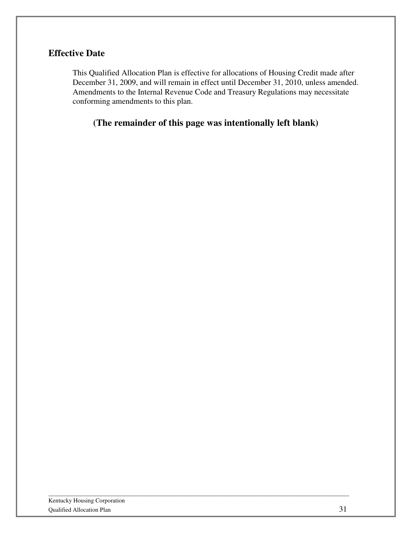## **Effective Date**

This Qualified Allocation Plan is effective for allocations of Housing Credit made after December 31, 2009, and will remain in effect until December 31, 2010, unless amended. Amendments to the Internal Revenue Code and Treasury Regulations may necessitate conforming amendments to this plan.

**(The remainder of this page was intentionally left blank)**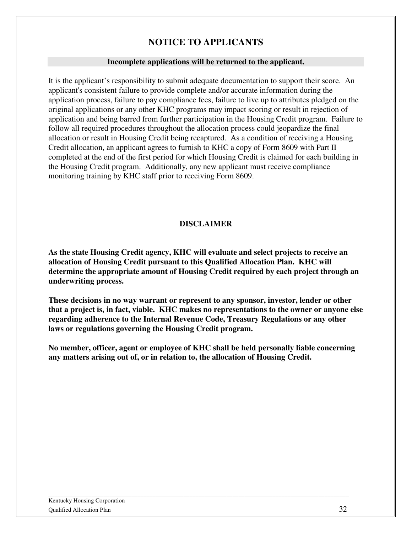## **NOTICE TO APPLICANTS**

#### **Incomplete applications will be returned to the applicant.**

It is the applicant's responsibility to submit adequate documentation to support their score. An applicant's consistent failure to provide complete and/or accurate information during the application process, failure to pay compliance fees, failure to live up to attributes pledged on the original applications or any other KHC programs may impact scoring or result in rejection of application and being barred from further participation in the Housing Credit program. Failure to follow all required procedures throughout the allocation process could jeopardize the final allocation or result in Housing Credit being recaptured. As a condition of receiving a Housing Credit allocation, an applicant agrees to furnish to KHC a copy of Form 8609 with Part II completed at the end of the first period for which Housing Credit is claimed for each building in the Housing Credit program. Additionally, any new applicant must receive compliance monitoring training by KHC staff prior to receiving Form 8609.

#### **DISCLAIMER**

**As the state Housing Credit agency, KHC will evaluate and select projects to receive an allocation of Housing Credit pursuant to this Qualified Allocation Plan. KHC will determine the appropriate amount of Housing Credit required by each project through an underwriting process.** 

**These decisions in no way warrant or represent to any sponsor, investor, lender or other that a project is, in fact, viable. KHC makes no representations to the owner or anyone else regarding adherence to the Internal Revenue Code, Treasury Regulations or any other laws or regulations governing the Housing Credit program.** 

**No member, officer, agent or employee of KHC shall be held personally liable concerning any matters arising out of, or in relation to, the allocation of Housing Credit.**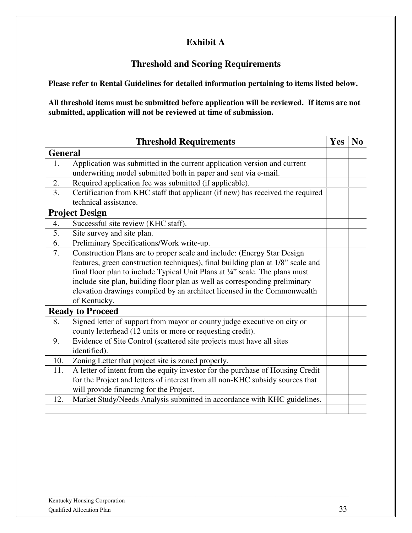## **Exhibit A**

## **Threshold and Scoring Requirements**

**Please refer to Rental Guidelines for detailed information pertaining to items listed below.** 

**All threshold items must be submitted before application will be reviewed. If items are not submitted, application will not be reviewed at time of submission.** 

|                | <b>Threshold Requirements</b>                                                   | <b>Yes</b> | N <sub>0</sub> |
|----------------|---------------------------------------------------------------------------------|------------|----------------|
| <b>General</b> |                                                                                 |            |                |
| 1.             | Application was submitted in the current application version and current        |            |                |
|                | underwriting model submitted both in paper and sent via e-mail.                 |            |                |
| 2.             | Required application fee was submitted (if applicable).                         |            |                |
| 3.             | Certification from KHC staff that applicant (if new) has received the required  |            |                |
|                | technical assistance.                                                           |            |                |
|                | <b>Project Design</b>                                                           |            |                |
| 4.             | Successful site review (KHC staff).                                             |            |                |
| 5.             | Site survey and site plan.                                                      |            |                |
| 6.             | Preliminary Specifications/Work write-up.                                       |            |                |
| 7.             | Construction Plans are to proper scale and include: (Energy Star Design         |            |                |
|                | features, green construction techniques), final building plan at 1/8" scale and |            |                |
|                | final floor plan to include Typical Unit Plans at 1/4" scale. The plans must    |            |                |
|                | include site plan, building floor plan as well as corresponding preliminary     |            |                |
|                | elevation drawings compiled by an architect licensed in the Commonwealth        |            |                |
|                | of Kentucky.                                                                    |            |                |
|                | <b>Ready to Proceed</b>                                                         |            |                |
| 8.             | Signed letter of support from mayor or county judge executive on city or        |            |                |
|                | county letterhead (12 units or more or requesting credit).                      |            |                |
| 9.             | Evidence of Site Control (scattered site projects must have all sites           |            |                |
|                | identified).                                                                    |            |                |
| 10.            | Zoning Letter that project site is zoned properly.                              |            |                |
| 11.            | A letter of intent from the equity investor for the purchase of Housing Credit  |            |                |
|                | for the Project and letters of interest from all non-KHC subsidy sources that   |            |                |
|                | will provide financing for the Project.                                         |            |                |
| 12.            | Market Study/Needs Analysis submitted in accordance with KHC guidelines.        |            |                |
|                |                                                                                 |            |                |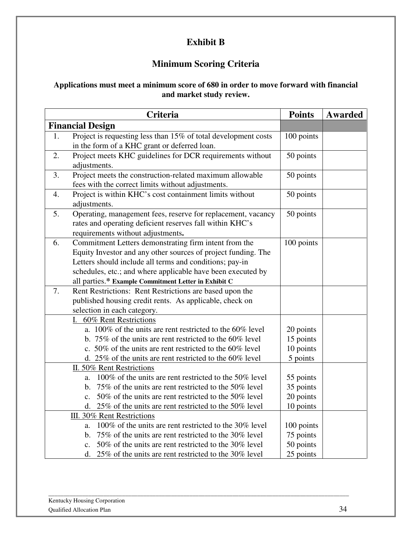## **Exhibit B**

## **Minimum Scoring Criteria**

#### **Applications must meet a minimum score of 680 in order to move forward with financial and market study review.**

|                                                         | <b>Criteria</b>                                                                                                      | <b>Points</b>          | <b>Awarded</b> |
|---------------------------------------------------------|----------------------------------------------------------------------------------------------------------------------|------------------------|----------------|
|                                                         | <b>Financial Design</b>                                                                                              |                        |                |
| 1.                                                      | Project is requesting less than 15% of total development costs                                                       | 100 points             |                |
|                                                         | in the form of a KHC grant or deferred loan.                                                                         |                        |                |
| 2.                                                      | Project meets KHC guidelines for DCR requirements without                                                            | 50 points              |                |
|                                                         | adjustments.                                                                                                         |                        |                |
| 3.                                                      | Project meets the construction-related maximum allowable                                                             | 50 points              |                |
|                                                         | fees with the correct limits without adjustments.                                                                    |                        |                |
| 4.                                                      | Project is within KHC's cost containment limits without                                                              | 50 points              |                |
|                                                         | adjustments.                                                                                                         |                        |                |
| 5.                                                      | Operating, management fees, reserve for replacement, vacancy                                                         | 50 points              |                |
|                                                         | rates and operating deficient reserves fall within KHC's                                                             |                        |                |
|                                                         | requirements without adjustments.                                                                                    |                        |                |
| 6.                                                      | Commitment Letters demonstrating firm intent from the                                                                | 100 points             |                |
|                                                         | Equity Investor and any other sources of project funding. The                                                        |                        |                |
|                                                         | Letters should include all terms and conditions; pay-in                                                              |                        |                |
|                                                         | schedules, etc.; and where applicable have been executed by                                                          |                        |                |
|                                                         | all parties.* Example Commitment Letter in Exhibit C                                                                 |                        |                |
| 7.                                                      | Rent Restrictions: Rent Restrictions are based upon the                                                              |                        |                |
| published housing credit rents. As applicable, check on |                                                                                                                      |                        |                |
|                                                         | selection in each category.                                                                                          |                        |                |
|                                                         | I. 60% Rent Restrictions                                                                                             |                        |                |
|                                                         | a. 100% of the units are rent restricted to the 60% level                                                            | 20 points              |                |
|                                                         | b. 75% of the units are rent restricted to the $60\%$ level                                                          | 15 points              |                |
|                                                         | c. 50% of the units are rent restricted to the 60% level                                                             | 10 points              |                |
|                                                         | d. $25\%$ of the units are rent restricted to the $60\%$ level                                                       | 5 points               |                |
|                                                         | II. 50% Rent Restrictions                                                                                            |                        |                |
|                                                         | 100% of the units are rent restricted to the 50% level<br>a.                                                         | 55 points              |                |
|                                                         | 75% of the units are rent restricted to the 50% level<br>b.<br>50% of the units are rent restricted to the 50% level | 35 points<br>20 points |                |
|                                                         | $\mathbf{c}$ .<br>d. $25\%$ of the units are rent restricted to the 50% level                                        | 10 points              |                |
|                                                         | III. 30% Rent Restrictions                                                                                           |                        |                |
|                                                         | 100% of the units are rent restricted to the 30% level<br>a.                                                         | 100 points             |                |
|                                                         | 75% of the units are rent restricted to the 30% level<br>b.                                                          | 75 points              |                |
|                                                         | 50% of the units are rent restricted to the 30% level<br>$\mathbf{c}$ .                                              | 50 points              |                |
|                                                         | d. $25\%$ of the units are rent restricted to the 30% level                                                          | 25 points              |                |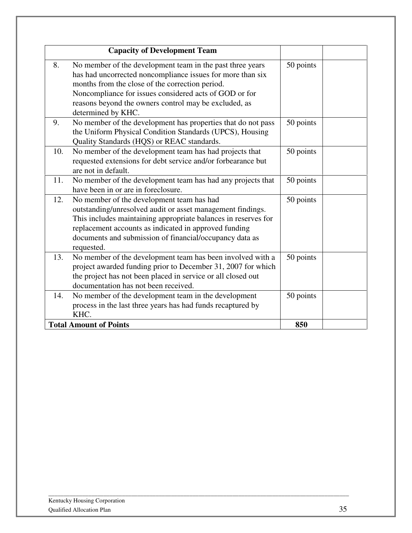| <b>Capacity of Development Team</b>                                                                                                                                                                                                                                                                                       |           |
|---------------------------------------------------------------------------------------------------------------------------------------------------------------------------------------------------------------------------------------------------------------------------------------------------------------------------|-----------|
| 8.<br>No member of the development team in the past three years<br>has had uncorrected noncompliance issues for more than six<br>months from the close of the correction period.<br>Noncompliance for issues considered acts of GOD or for<br>reasons beyond the owners control may be excluded, as<br>determined by KHC. | 50 points |
| No member of the development has properties that do not pass<br>9.<br>the Uniform Physical Condition Standards (UPCS), Housing<br>Quality Standards (HQS) or REAC standards.                                                                                                                                              | 50 points |
| No member of the development team has had projects that<br>10.<br>requested extensions for debt service and/or forbearance but<br>are not in default.                                                                                                                                                                     | 50 points |
| No member of the development team has had any projects that<br>11.<br>have been in or are in foreclosure.                                                                                                                                                                                                                 | 50 points |
| No member of the development team has had<br>12.<br>outstanding/unresolved audit or asset management findings.<br>This includes maintaining appropriate balances in reserves for<br>replacement accounts as indicated in approved funding<br>documents and submission of financial/occupancy data as<br>requested.        | 50 points |
| No member of the development team has been involved with a<br>13.<br>project awarded funding prior to December 31, 2007 for which<br>the project has not been placed in service or all closed out<br>documentation has not been received.                                                                                 | 50 points |
| No member of the development team in the development<br>14.<br>process in the last three years has had funds recaptured by<br>KHC.                                                                                                                                                                                        | 50 points |
| <b>Total Amount of Points</b>                                                                                                                                                                                                                                                                                             | 850       |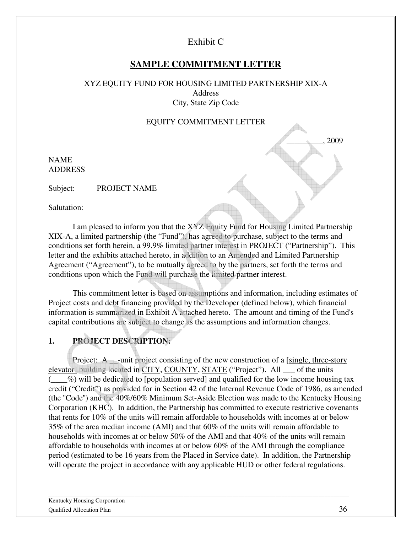## Exhibit C

## **SAMPLE COMMITMENT LETTER**

#### XYZ EQUITY FUND FOR HOUSING LIMITED PARTNERSHIP XIX-A Address City, State Zip Code

#### EQUITY COMMITMENT LETTER

\_\_\_\_\_\_\_\_\_, 2009

NAME ADDRESS

Subject: PROJECT NAME

Salutation:

I am pleased to inform you that the XYZ Equity Fund for Housing Limited Partnership XIX-A, a limited partnership (the "Fund"), has agreed to purchase, subject to the terms and conditions set forth herein, a 99.9% limited partner interest in PROJECT ("Partnership"). This letter and the exhibits attached hereto, in addition to an Amended and Limited Partnership Agreement ("Agreement"), to be mutually agreed to by the partners, set forth the terms and conditions upon which the Fund will purchase the limited partner interest.

This commitment letter is based on assumptions and information, including estimates of Project costs and debt financing provided by the Developer (defined below), which financial information is summarized in Exhibit A attached hereto. The amount and timing of the Fund's capital contributions are subject to change as the assumptions and information changes.

## **1. PROJECT DESCRIPTION:**

Project: A <u>unit project</u> consisting of the new construction of a [single, three-story elevator] building located in CITY, COUNTY, STATE ("Project"). All \_\_\_ of the units  $(\%)$  will be dedicated to [population served] and qualified for the low income housing tax credit ("Credit") as provided for in Section 42 of the Internal Revenue Code of 1986, as amended (the ''Code'') and the 40%/60% Minimum Set-Aside Election was made to the Kentucky Housing Corporation (KHC). In addition, the Partnership has committed to execute restrictive covenants that rents for 10% of the units will remain affordable to households with incomes at or below 35% of the area median income (AMI) and that 60% of the units will remain affordable to households with incomes at or below 50% of the AMI and that 40% of the units will remain affordable to households with incomes at or below 60% of the AMI through the compliance period (estimated to be 16 years from the Placed in Service date). In addition, the Partnership will operate the project in accordance with any applicable HUD or other federal regulations.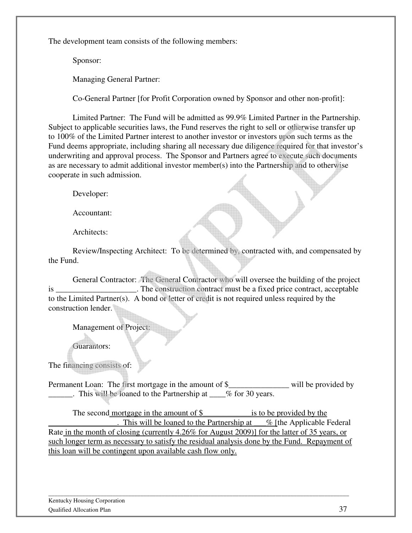The development team consists of the following members:

Sponsor:

Managing General Partner:

Co-General Partner [for Profit Corporation owned by Sponsor and other non-profit]:

Limited Partner: The Fund will be admitted as 99.9% Limited Partner in the Partnership. Subject to applicable securities laws, the Fund reserves the right to sell or otherwise transfer up to 100% of the Limited Partner interest to another investor or investors upon such terms as the Fund deems appropriate, including sharing all necessary due diligence required for that investor's underwriting and approval process. The Sponsor and Partners agree to execute such documents as are necessary to admit additional investor member(s) into the Partnership and to otherwise cooperate in such admission.

Developer:

Accountant:

Architects:

Review/Inspecting Architect: To be determined by, contracted with, and compensated by the Fund.

 General Contractor: The General Contractor who will oversee the building of the project is **is** The construction contract must be a fixed price contract, acceptable to the Limited Partner(s). A bond or letter of credit is not required unless required by the construction lender.

Management of Project:

Guarantors:

The financing consists of:

Permanent Loan: The first mortgage in the amount of \$\_\_\_\_\_\_\_\_\_\_\_\_\_\_\_\_\_\_\_\_\_ will be provided by This will be loaned to the Partnership at \_\_\_% for 30 years.

The second mortgage in the amount of  $\$\$ is to be provided by the This will be loaned to the Partnership at  $\%$  [the Applicable Federal Rate in the month of closing (currently 4.26% for August 2009)] for the latter of 35 years, or such longer term as necessary to satisfy the residual analysis done by the Fund. Repayment of this loan will be contingent upon available cash flow only.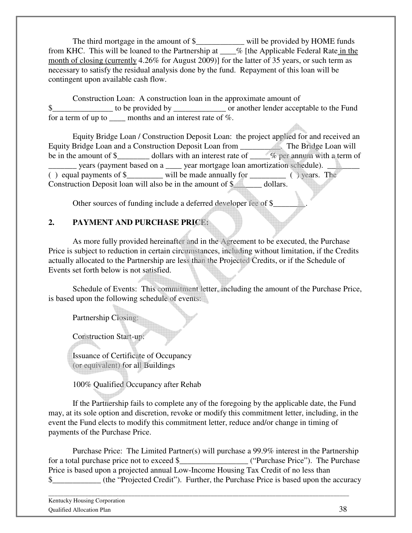The third mortgage in the amount of \$\_\_\_\_\_\_\_\_\_\_\_\_\_ will be provided by HOME funds from KHC. This will be loaned to the Partnership at  $\frac{6}{\sqrt{6}}$  [the Applicable Federal Rate in the month of closing (currently 4.26% for August 2009)] for the latter of 35 years, or such term as necessary to satisfy the residual analysis done by the fund. Repayment of this loan will be contingent upon available cash flow.

Construction Loan: A construction loan in the approximate amount of  $\$\$  to be provided by or another lender acceptable to the Fund for a term of up to \_\_\_\_ months and an interest rate of %.

Equity Bridge Loan / Construction Deposit Loan: the project applied for and received an Equity Bridge Loan and a Construction Deposit Loan from \_\_\_\_\_\_\_\_\_\_. The Bridge Loan will be in the amount of \$\_\_\_\_\_\_\_\_ dollars with an interest rate of  $\frac{1}{\sqrt{2}}$  per annum with a term of \_\_\_\_\_\_\_ years (payment based on a \_\_\_\_ year mortgage loan amortization schedule). \_\_\_\_\_\_\_\_ ( ) equal payments of  $\frac{1}{2}$  will be made annually for \_\_\_\_\_\_\_\_ ( ) years. The Construction Deposit loan will also be in the amount of \$\_\_\_\_\_\_ dollars.

Other sources of funding include a deferred developer fee of \$\_\_\_\_\_\_\_\_\_\_\_\_\_\_\_\_\_\_\_

#### **2. PAYMENT AND PURCHASE PRICE:**

As more fully provided hereinafter and in the Agreement to be executed, the Purchase Price is subject to reduction in certain circumstances, including without limitation, if the Credits actually allocated to the Partnership are less than the Projected Credits, or if the Schedule of Events set forth below is not satisfied.

Schedule of Events: This commitment letter, including the amount of the Purchase Price, is based upon the following schedule of events:

Partnership Closing:

Construction Start-up:

Issuance of Certificate of Occupancy (or equivalent) for all Buildings

100% Qualified Occupancy after Rehab

If the Partnership fails to complete any of the foregoing by the applicable date, the Fund may, at its sole option and discretion, revoke or modify this commitment letter, including, in the event the Fund elects to modify this commitment letter, reduce and/or change in timing of payments of the Purchase Price.

Purchase Price: The Limited Partner(s) will purchase a 99.9% interest in the Partnership for a total purchase price not to exceed \$\_\_\_\_\_\_\_\_\_\_\_\_\_\_\_\_\_ ("Purchase Price"). The Purchase Price is based upon a projected annual Low-Income Housing Tax Credit of no less than \$\_\_\_\_\_\_\_\_\_\_\_\_ (the "Projected Credit"). Further, the Purchase Price is based upon the accuracy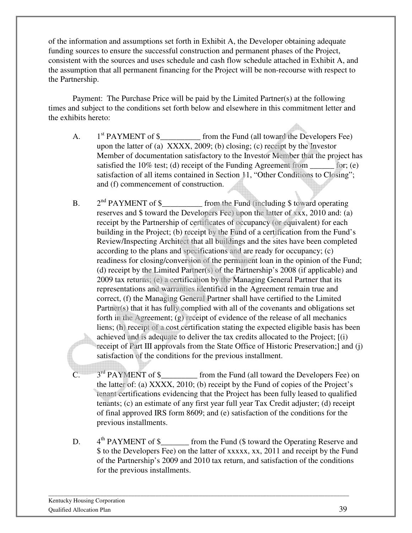of the information and assumptions set forth in Exhibit A, the Developer obtaining adequate funding sources to ensure the successful construction and permanent phases of the Project, consistent with the sources and uses schedule and cash flow schedule attached in Exhibit A, and the assumption that all permanent financing for the Project will be non-recourse with respect to the Partnership.

Payment: The Purchase Price will be paid by the Limited Partner(s) at the following times and subject to the conditions set forth below and elsewhere in this commitment letter and the exhibits hereto:

- A.  $1<sup>st</sup> PAYMENT of $ _______ from the Fund (all toward the Developers Fee)$ upon the latter of (a) XXXX, 2009; (b) closing; (c) receipt by the Investor Member of documentation satisfactory to the Investor Member that the project has satisfied the  $10\%$  test; (d) receipt of the Funding Agreement from  $\qquad$  for; (e) satisfaction of all items contained in Section 11, "Other Conditions to Closing"; and (f) commencement of construction.
- $B<sub>1</sub>$  $2<sup>nd</sup> PAYMENT of $_________ from the Fund (including $ toward operating)$ reserves and \$ toward the Developers Fee) upon the latter of xxx, 2010 and: (a) receipt by the Partnership of certificates of occupancy (or equivalent) for each building in the Project; (b) receipt by the Fund of a certification from the Fund's Review/Inspecting Architect that all buildings and the sites have been completed according to the plans and specifications and are ready for occupancy; (c) readiness for closing/conversion of the permanent loan in the opinion of the Fund; (d) receipt by the Limited Partner(s) of the Partnership's 2008 (if applicable) and 2009 tax returns; (e) a certification by the Managing General Partner that its representations and warranties identified in the Agreement remain true and correct, (f) the Managing General Partner shall have certified to the Limited Partner(s) that it has fully complied with all of the covenants and obligations set forth in the Agreement; (g) receipt of evidence of the release of all mechanics liens; (h) receipt of a cost certification stating the expected eligible basis has been achieved and is adequate to deliver the tax credits allocated to the Project; [(i) receipt of Part III approvals from the State Office of Historic Preservation;] and (j) satisfaction of the conditions for the previous installment.
- C.  $3<sup>rd</sup> PAYMENT of $$  from the Fund (all toward the Developers Fee) on the latter of: (a) XXXX, 2010; (b) receipt by the Fund of copies of the Project's tenant certifications evidencing that the Project has been fully leased to qualified tenants; (c) an estimate of any first year full year Tax Credit adjuster; (d) receipt of final approved IRS form 8609; and (e) satisfaction of the conditions for the previous installments.
- D. 4<sup>th</sup> PAYMENT of \$\_\_\_\_\_\_\_ from the Fund (\$ toward the Operating Reserve and \$ to the Developers Fee) on the latter of xxxxx, xx, 2011 and receipt by the Fund of the Partnership's 2009 and 2010 tax return, and satisfaction of the conditions for the previous installments.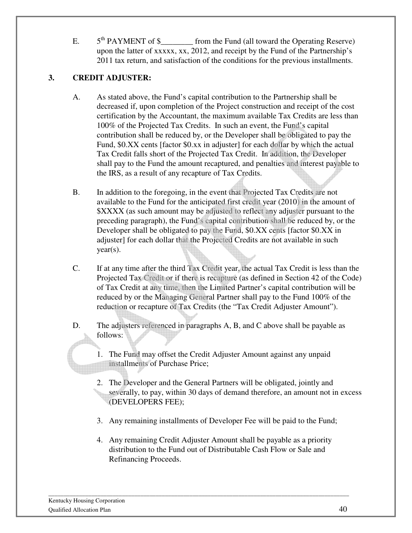E.  $5<sup>th</sup> PAYMENT of $ _______ from the Fund (all toward the Operating Reserve)$ upon the latter of xxxxx, xx, 2012, and receipt by the Fund of the Partnership's 2011 tax return, and satisfaction of the conditions for the previous installments.

## **3. CREDIT ADJUSTER:**

- A. As stated above, the Fund's capital contribution to the Partnership shall be decreased if, upon completion of the Project construction and receipt of the cost certification by the Accountant, the maximum available Tax Credits are less than 100% of the Projected Tax Credits. In such an event, the Fund's capital contribution shall be reduced by, or the Developer shall be obligated to pay the Fund, \$0.XX cents [factor \$0.xx in adjuster] for each dollar by which the actual Tax Credit falls short of the Projected Tax Credit. In addition, the Developer shall pay to the Fund the amount recaptured, and penalties and interest payable to the IRS, as a result of any recapture of Tax Credits.
- B. In addition to the foregoing, in the event that Projected Tax Credits are not available to the Fund for the anticipated first credit year (2010) in the amount of \$XXXX (as such amount may be adjusted to reflect any adjuster pursuant to the preceding paragraph), the Fund's capital contribution shall be reduced by, or the Developer shall be obligated to pay the Fund, \$0.XX cents [factor \$0.XX in adjuster] for each dollar that the Projected Credits are not available in such  $year(s)$ .
- C. If at any time after the third Tax Credit year, the actual Tax Credit is less than the Projected Tax Credit or if there is recapture (as defined in Section 42 of the Code) of Tax Credit at any time, then the Limited Partner's capital contribution will be reduced by or the Managing General Partner shall pay to the Fund 100% of the reduction or recapture of Tax Credits (the "Tax Credit Adjuster Amount").
- D. The adjusters referenced in paragraphs A, B, and C above shall be payable as follows:
	- 1. The Fund may offset the Credit Adjuster Amount against any unpaid installments of Purchase Price;
	- 2. The Developer and the General Partners will be obligated, jointly and severally, to pay, within 30 days of demand therefore, an amount not in excess (DEVELOPERS FEE);
	- 3. Any remaining installments of Developer Fee will be paid to the Fund;
	- 4. Any remaining Credit Adjuster Amount shall be payable as a priority distribution to the Fund out of Distributable Cash Flow or Sale and Refinancing Proceeds.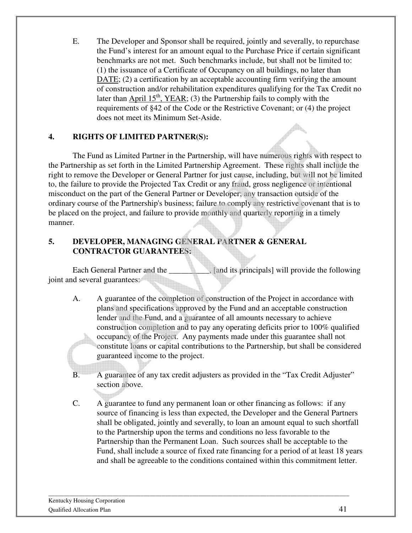E. The Developer and Sponsor shall be required, jointly and severally, to repurchase the Fund's interest for an amount equal to the Purchase Price if certain significant benchmarks are not met. Such benchmarks include, but shall not be limited to: (1) the issuance of a Certificate of Occupancy on all buildings, no later than DATE; (2) a certification by an acceptable accounting firm verifying the amount of construction and/or rehabilitation expenditures qualifying for the Tax Credit no later than April  $15<sup>th</sup>$ , YEAR; (3) the Partnership fails to comply with the requirements of §42 of the Code or the Restrictive Covenant; or (4) the project does not meet its Minimum Set-Aside.

#### **4. RIGHTS OF LIMITED PARTNER(S):**

The Fund as Limited Partner in the Partnership, will have numerous rights with respect to the Partnership as set forth in the Limited Partnership Agreement. These rights shall include the right to remove the Developer or General Partner for just cause, including, but will not be limited to, the failure to provide the Projected Tax Credit or any fraud, gross negligence or intentional misconduct on the part of the General Partner or Developer; any transaction outside of the ordinary course of the Partnership's business; failure to comply any restrictive covenant that is to be placed on the project, and failure to provide monthly and quarterly reporting in a timely manner.

#### **5. DEVELOPER, MANAGING GENERAL PARTNER & GENERAL CONTRACTOR GUARANTEES:**

Each General Partner and the **Figure 1**, [and its principals] will provide the following joint and several guarantees:

- A. A guarantee of the completion of construction of the Project in accordance with plans and specifications approved by the Fund and an acceptable construction lender and the Fund, and a guarantee of all amounts necessary to achieve construction completion and to pay any operating deficits prior to 100% qualified occupancy of the Project. Any payments made under this guarantee shall not constitute loans or capital contributions to the Partnership, but shall be considered guaranteed income to the project.
- B. A guarantee of any tax credit adjusters as provided in the "Tax Credit Adjuster" section above.
- C. A guarantee to fund any permanent loan or other financing as follows: if any source of financing is less than expected, the Developer and the General Partners shall be obligated, jointly and severally, to loan an amount equal to such shortfall to the Partnership upon the terms and conditions no less favorable to the Partnership than the Permanent Loan. Such sources shall be acceptable to the Fund, shall include a source of fixed rate financing for a period of at least 18 years and shall be agreeable to the conditions contained within this commitment letter.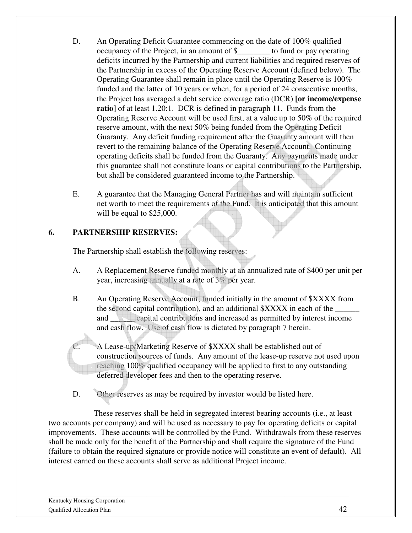- D. An Operating Deficit Guarantee commencing on the date of 100% qualified occupancy of the Project, in an amount of \$\_\_\_\_\_\_\_\_ to fund or pay operating deficits incurred by the Partnership and current liabilities and required reserves of the Partnership in excess of the Operating Reserve Account (defined below). The Operating Guarantee shall remain in place until the Operating Reserve is 100% funded and the latter of 10 years or when, for a period of 24 consecutive months, the Project has averaged a debt service coverage ratio (DCR) **[or income/expense ratio**] of at least 1.20:1. DCR is defined in paragraph 11. Funds from the Operating Reserve Account will be used first, at a value up to 50% of the required reserve amount, with the next 50% being funded from the Operating Deficit Guaranty. Any deficit funding requirement after the Guaranty amount will then revert to the remaining balance of the Operating Reserve Account. Continuing operating deficits shall be funded from the Guaranty. Any payments made under this guarantee shall not constitute loans or capital contributions to the Partnership, but shall be considered guaranteed income to the Partnership.
- E. A guarantee that the Managing General Partner has and will maintain sufficient net worth to meet the requirements of the Fund. It is anticipated that this amount will be equal to \$25,000.

#### **6. PARTNERSHIP RESERVES:**

The Partnership shall establish the following reserves:

- A. A Replacement Reserve funded monthly at an annualized rate of \$400 per unit per year, increasing annually at a rate of 3% per year.
- B. An Operating Reserve Account, funded initially in the amount of \$XXXX from the second capital contribution), and an additional \$XXXX in each of the and \_\_\_\_\_\_ capital contributions and increased as permitted by interest income and cash flow. Use of cash flow is dictated by paragraph 7 herein.

A Lease-up/Marketing Reserve of \$XXXX shall be established out of construction sources of funds. Any amount of the lease-up reserve not used upon reaching 100% qualified occupancy will be applied to first to any outstanding deferred developer fees and then to the operating reserve.

D. Other reserves as may be required by investor would be listed here.

 These reserves shall be held in segregated interest bearing accounts (i.e., at least two accounts per company) and will be used as necessary to pay for operating deficits or capital improvements. These accounts will be controlled by the Fund. Withdrawals from these reserves shall be made only for the benefit of the Partnership and shall require the signature of the Fund (failure to obtain the required signature or provide notice will constitute an event of default). All interest earned on these accounts shall serve as additional Project income.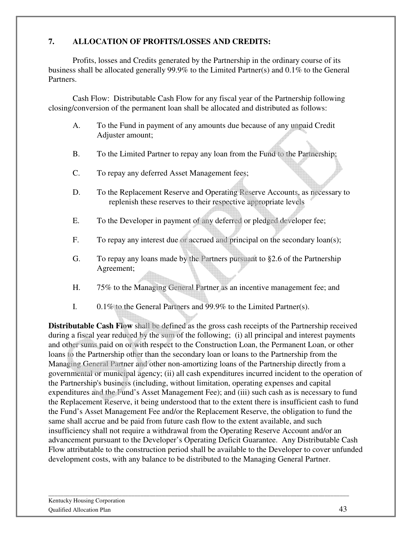#### **7. ALLOCATION OF PROFITS/LOSSES AND CREDITS:**

 Profits, losses and Credits generated by the Partnership in the ordinary course of its business shall be allocated generally 99.9% to the Limited Partner(s) and 0.1% to the General Partners.

 Cash Flow: Distributable Cash Flow for any fiscal year of the Partnership following closing/conversion of the permanent loan shall be allocated and distributed as follows:

- A. To the Fund in payment of any amounts due because of any unpaid Credit Adjuster amount;
- B. To the Limited Partner to repay any loan from the Fund to the Partnership;
- C. To repay any deferred Asset Management fees;
- D. To the Replacement Reserve and Operating Reserve Accounts, as necessary to replenish these reserves to their respective appropriate levels
- E. To the Developer in payment of any deferred or pledged developer fee;
- F. To repay any interest due or accrued and principal on the secondary loan(s);
- G. To repay any loans made by the Partners pursuant to §2.6 of the Partnership Agreement;
- H. 75% to the Managing General Partner as an incentive management fee; and
- I. 0.1% to the General Partners and 99.9% to the Limited Partner(s).

**Distributable Cash Flow** shall be defined as the gross cash receipts of the Partnership received during a fiscal year reduced by the sum of the following; (i) all principal and interest payments and other sums paid on or with respect to the Construction Loan, the Permanent Loan, or other loans to the Partnership other than the secondary loan or loans to the Partnership from the Managing General Partner and other non-amortizing loans of the Partnership directly from a governmental or municipal agency; (ii) all cash expenditures incurred incident to the operation of the Partnership's business (including, without limitation, operating expenses and capital expenditures and the Fund's Asset Management Fee); and (iii) such cash as is necessary to fund the Replacement Reserve, it being understood that to the extent there is insufficient cash to fund the Fund's Asset Management Fee and/or the Replacement Reserve, the obligation to fund the same shall accrue and be paid from future cash flow to the extent available, and such insufficiency shall not require a withdrawal from the Operating Reserve Account and/or an advancement pursuant to the Developer's Operating Deficit Guarantee. Any Distributable Cash Flow attributable to the construction period shall be available to the Developer to cover unfunded development costs, with any balance to be distributed to the Managing General Partner.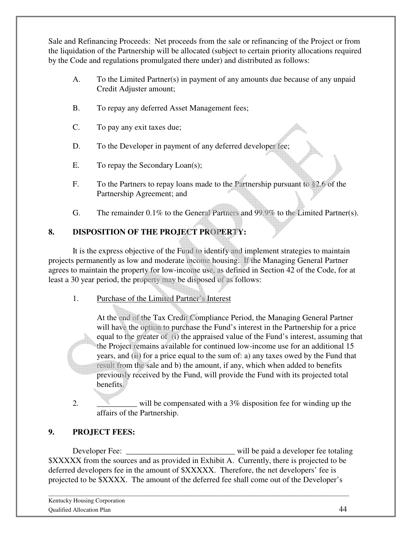Sale and Refinancing Proceeds: Net proceeds from the sale or refinancing of the Project or from the liquidation of the Partnership will be allocated (subject to certain priority allocations required by the Code and regulations promulgated there under) and distributed as follows:

- A. To the Limited Partner(s) in payment of any amounts due because of any unpaid Credit Adjuster amount;
- B. To repay any deferred Asset Management fees;
- C. To pay any exit taxes due;
- D. To the Developer in payment of any deferred developer fee;
- E. To repay the Secondary Loan(s);
- F. To the Partners to repay loans made to the Partnership pursuant to §2.6 of the Partnership Agreement; and
- G. The remainder 0.1% to the General Partners and 99.9% to the Limited Partner(s).

## **8. DISPOSITION OF THE PROJECT PROPERTY:**

It is the express objective of the Fund to identify and implement strategies to maintain projects permanently as low and moderate income housing. If the Managing General Partner agrees to maintain the property for low-income use, as defined in Section 42 of the Code, for at least a 30 year period, the property may be disposed of as follows:

1. Purchase of the Limited Partner's Interest

At the end of the Tax Credit Compliance Period, the Managing General Partner will have the option to purchase the Fund's interest in the Partnership for a price equal to the greater of (i) the appraised value of the Fund's interest, assuming that the Project remains available for continued low-income use for an additional 15 years, and (ii) for a price equal to the sum of: a) any taxes owed by the Fund that result from the sale and b) the amount, if any, which when added to benefits previously received by the Fund, will provide the Fund with its projected total benefits.

2.  $\blacksquare$  will be compensated with a 3% disposition fee for winding up the affairs of the Partnership.

## **9. PROJECT FEES:**

 Developer Fee: \_\_\_\_\_\_\_\_\_\_\_\_\_\_\_\_\_\_\_\_\_\_\_\_\_\_\_ will be paid a developer fee totaling \$XXXXX from the sources and as provided in Exhibit A. Currently, there is projected to be deferred developers fee in the amount of \$XXXXX. Therefore, the net developers' fee is projected to be \$XXXX. The amount of the deferred fee shall come out of the Developer's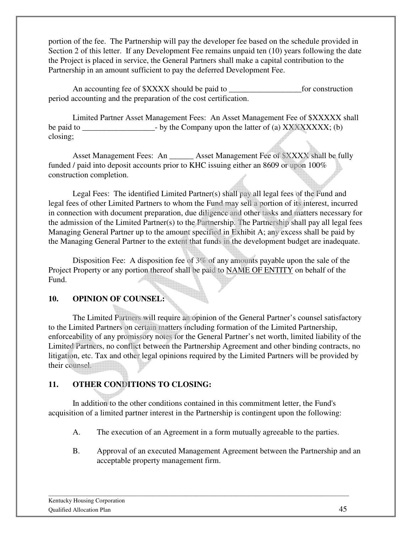portion of the fee. The Partnership will pay the developer fee based on the schedule provided in Section 2 of this letter. If any Development Fee remains unpaid ten (10) years following the date the Project is placed in service, the General Partners shall make a capital contribution to the Partnership in an amount sufficient to pay the deferred Development Fee.

An accounting fee of \$XXXX should be paid to \_\_\_\_\_\_\_\_\_\_\_\_\_\_\_\_\_\_for construction period accounting and the preparation of the cost certification.

Limited Partner Asset Management Fees: An Asset Management Fee of \$XXXXX shall be paid to  $-$  by the Company upon the latter of (a) XXXXXXXX; (b) closing;

Asset Management Fees: An \_\_\_\_\_\_ Asset Management Fee of \$XXXX shall be fully funded / paid into deposit accounts prior to KHC issuing either an 8609 or upon 100% construction completion.

Legal Fees: The identified Limited Partner(s) shall pay all legal fees of the Fund and legal fees of other Limited Partners to whom the Fund may sell a portion of its interest, incurred in connection with document preparation, due diligence and other tasks and matters necessary for the admission of the Limited Partner(s) to the Partnership. The Partnership shall pay all legal fees Managing General Partner up to the amount specified in Exhibit A; any excess shall be paid by the Managing General Partner to the extent that funds in the development budget are inadequate.

Disposition Fee: A disposition fee of 3% of any amounts payable upon the sale of the Project Property or any portion thereof shall be paid to NAME OF ENTITY on behalf of the Fund.

#### **10. OPINION OF COUNSEL:**

 The Limited Partners will require an opinion of the General Partner's counsel satisfactory to the Limited Partners on certain matters including formation of the Limited Partnership, enforceability of any promissory notes for the General Partner's net worth, limited liability of the Limited Partners, no conflict between the Partnership Agreement and other binding contracts, no litigation, etc. Tax and other legal opinions required by the Limited Partners will be provided by their counsel.

#### **11. OTHER CONDITIONS TO CLOSING:**

 In addition to the other conditions contained in this commitment letter, the Fund's acquisition of a limited partner interest in the Partnership is contingent upon the following:

- A. The execution of an Agreement in a form mutually agreeable to the parties.
- B. Approval of an executed Management Agreement between the Partnership and an acceptable property management firm.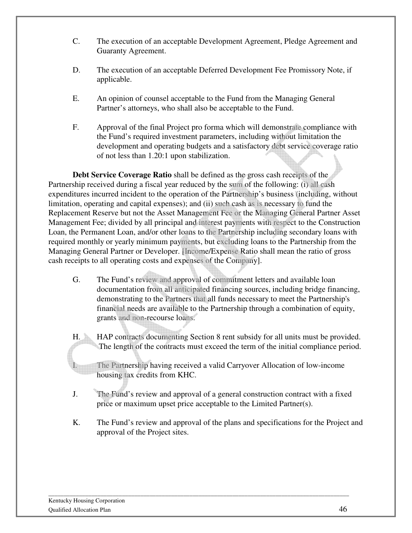- C. The execution of an acceptable Development Agreement, Pledge Agreement and Guaranty Agreement.
- D. The execution of an acceptable Deferred Development Fee Promissory Note, if applicable.
- E. An opinion of counsel acceptable to the Fund from the Managing General Partner's attorneys, who shall also be acceptable to the Fund.
- F. Approval of the final Project pro forma which will demonstrate compliance with the Fund's required investment parameters, including without limitation the development and operating budgets and a satisfactory debt service coverage ratio of not less than 1.20:1 upon stabilization.

**Debt Service Coverage Ratio** shall be defined as the gross cash receipts of the Partnership received during a fiscal year reduced by the sum of the following: (i) all cash expenditures incurred incident to the operation of the Partnership's business (including, without limitation, operating and capital expenses); and (ii) such cash as is necessary to fund the Replacement Reserve but not the Asset Management Fee or the Managing General Partner Asset Management Fee; divided by all principal and interest payments with respect to the Construction Loan, the Permanent Loan, and/or other loans to the Partnership including secondary loans with required monthly or yearly minimum payments, but excluding loans to the Partnership from the Managing General Partner or Developer. [Income/Expense Ratio shall mean the ratio of gross cash receipts to all operating costs and expenses of the Company].

- G. The Fund's review and approval of commitment letters and available loan documentation from all anticipated financing sources, including bridge financing, demonstrating to the Partners that all funds necessary to meet the Partnership's financial needs are available to the Partnership through a combination of equity, grants and non-recourse loans.
- H. HAP contracts documenting Section 8 rent subsidy for all units must be provided. The length of the contracts must exceed the term of the initial compliance period.

The Partnership having received a valid Carryover Allocation of low-income housing tax credits from KHC.

- J. The Fund's review and approval of a general construction contract with a fixed price or maximum upset price acceptable to the Limited Partner(s).
- K. The Fund's review and approval of the plans and specifications for the Project and approval of the Project sites.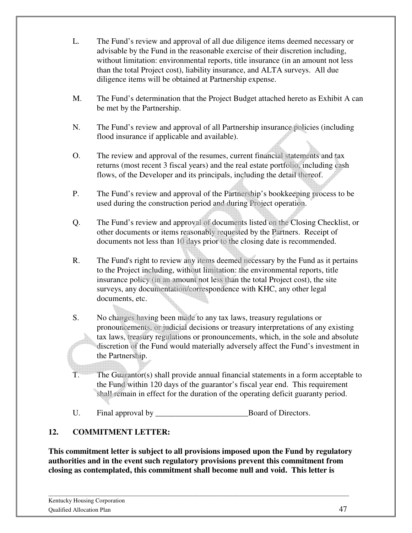- L. The Fund's review and approval of all due diligence items deemed necessary or advisable by the Fund in the reasonable exercise of their discretion including, without limitation: environmental reports, title insurance (in an amount not less than the total Project cost), liability insurance, and ALTA surveys. All due diligence items will be obtained at Partnership expense.
- M. The Fund's determination that the Project Budget attached hereto as Exhibit A can be met by the Partnership.
- N. The Fund's review and approval of all Partnership insurance policies (including flood insurance if applicable and available).
- O. The review and approval of the resumes, current financial statements and tax returns (most recent 3 fiscal years) and the real estate portfolio, including cash flows, of the Developer and its principals, including the detail thereof.
- P. The Fund's review and approval of the Partnership's bookkeeping process to be used during the construction period and during Project operation.
- Q. The Fund's review and approval of documents listed on the Closing Checklist, or other documents or items reasonably requested by the Partners. Receipt of documents not less than 10 days prior to the closing date is recommended.
- R. The Fund's right to review any items deemed necessary by the Fund as it pertains to the Project including, without limitation: the environmental reports, title insurance policy (in an amount not less than the total Project cost), the site surveys, any documentation/correspondence with KHC, any other legal documents, etc.
- S. No changes having been made to any tax laws, treasury regulations or pronouncements, or judicial decisions or treasury interpretations of any existing tax laws, treasury regulations or pronouncements, which, in the sole and absolute discretion of the Fund would materially adversely affect the Fund's investment in the Partnership.
- T. The Guarantor(s) shall provide annual financial statements in a form acceptable to the Fund within 120 days of the guarantor's fiscal year end. This requirement shall remain in effect for the duration of the operating deficit guaranty period.
- U. Final approval by Board of Directors.

## **12. COMMITMENT LETTER:**

**This commitment letter is subject to all provisions imposed upon the Fund by regulatory authorities and in the event such regulatory provisions prevent this commitment from closing as contemplated, this commitment shall become null and void. This letter is**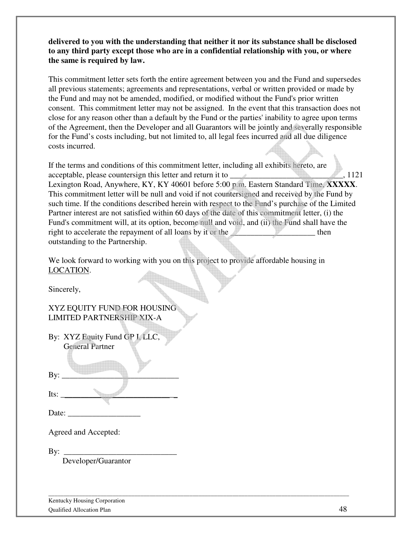**delivered to you with the understanding that neither it nor its substance shall be disclosed to any third party except those who are in a confidential relationship with you, or where the same is required by law.** 

This commitment letter sets forth the entire agreement between you and the Fund and supersedes all previous statements; agreements and representations, verbal or written provided or made by the Fund and may not be amended, modified, or modified without the Fund's prior written consent. This commitment letter may not be assigned. In the event that this transaction does not close for any reason other than a default by the Fund or the parties' inability to agree upon terms of the Agreement, then the Developer and all Guarantors will be jointly and severally responsible for the Fund's costs including, but not limited to, all legal fees incurred and all due diligence costs incurred.

If the terms and conditions of this commitment letter, including all exhibits hereto, are acceptable, please countersign this letter and return it to \_\_\_\_\_\_\_\_\_\_\_\_\_\_\_\_\_\_\_\_\_, 1121 Lexington Road, Anywhere, KY, KY 40601 before 5:00 p.m. Eastern Standard Time, **XXXXX**. This commitment letter will be null and void if not countersigned and received by the Fund by such time. If the conditions described herein with respect to the Fund's purchase of the Limited Partner interest are not satisfied within 60 days of the date of this commitment letter, (i) the Fund's commitment will, at its option, become null and void, and (ii) the Fund shall have the right to accelerate the repayment of all loans by it or the them then outstanding to the Partnership.

We look forward to working with you on this project to provide affordable housing in LOCATION.

\_\_\_\_\_\_\_\_\_\_\_\_\_\_\_\_\_\_\_\_\_\_\_\_\_\_\_\_\_\_\_\_\_\_\_\_\_\_\_\_\_\_\_\_\_\_\_\_\_\_\_\_\_\_\_\_\_\_\_\_\_\_\_\_\_\_\_\_\_\_\_\_\_\_\_\_\_\_\_\_\_\_\_\_\_\_\_\_\_\_\_\_\_\_\_\_\_\_

Sincerely,

XYZ EQUITY FUND FOR HOUSING LIMITED PARTNERSHIP XIX-A

| By: XYZ Equity Fund GP I, LLC, |  |
|--------------------------------|--|
| <b>General Partner</b>         |  |
|                                |  |

Its:  $\frac{1}{\sqrt{2\pi}}$ 

By: \_\_\_\_\_\_\_\_\_\_\_\_\_\_\_\_\_\_\_\_\_\_\_\_\_\_\_\_\_

Date:

Agreed and Accepted:

By: \_\_\_\_\_\_\_\_\_\_\_\_\_\_\_\_\_\_\_\_\_\_\_\_\_\_\_\_

Developer/Guarantor